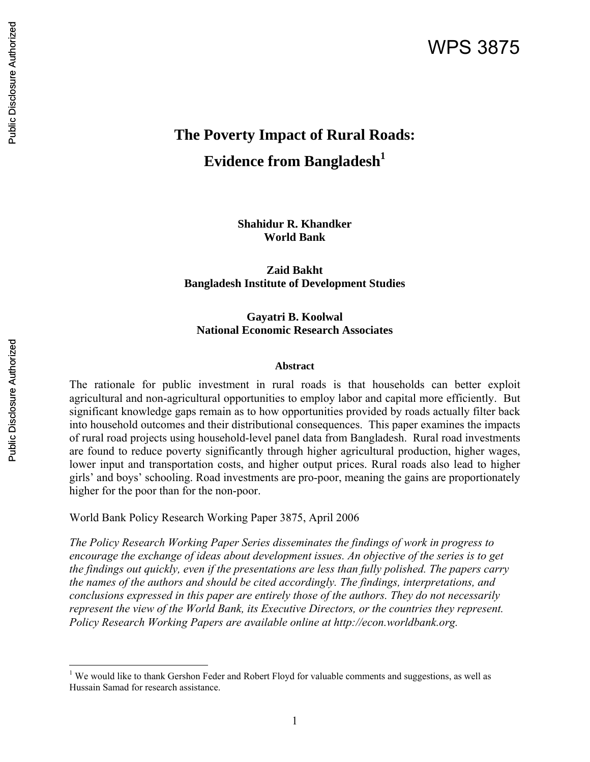# **The Poverty Impact of Rural Roads: Evidence from Bangladesh**<sup>1</sup>

**Shahidur R. Khandker World Bank** 

**Zaid Bakht Bangladesh Institute of Development Studies** 

**Gayatri B. Koolwal National Economic Research Associates** 

#### **Abstract**

The rationale for public investment in rural roads is that households can better exploit agricultural and non-agricultural opportunities to employ labor and capital more efficiently. But significant knowledge gaps remain as to how opportunities provided by roads actually filter back into household outcomes and their distributional consequences. This paper examines the impacts of rural road projects using household-level panel data from Bangladesh. Rural road investments are found to reduce poverty significantly through higher agricultural production, higher wages, lower input and transportation costs, and higher output prices. Rural roads also lead to higher girls' and boys' schooling. Road investments are pro-poor, meaning the gains are proportionately higher for the poor than for the non-poor.

World Bank Policy Research Working Paper 3875, April 2006

*The Policy Research Working Paper Series disseminates the findings of work in progress to encourage the exchange of ideas about development issues. An objective of the series is to get the findings out quickly, even if the presentations are less than fully polished. The papers carry the names of the authors and should be cited accordingly. The findings, interpretations, and conclusions expressed in this paper are entirely those of the authors. They do not necessarily represent the view of the World Bank, its Executive Directors, or the countries they represent. Policy Research Working Papers are available online at http://econ.worldbank.org.* 

<sup>&</sup>lt;sup>1</sup> We would like to thank Gershon Feder and Robert Floyd for valuable comments and suggestions, as well as Hussain Samad for research assistance.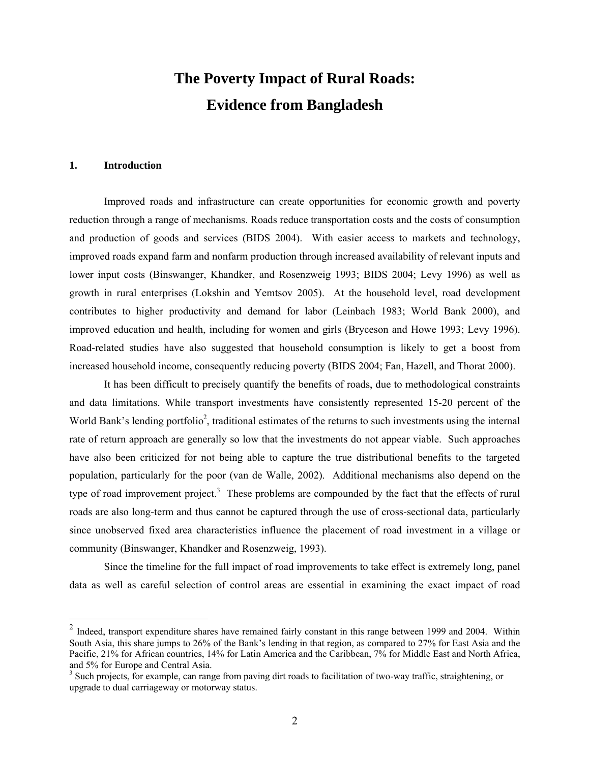# **The Poverty Impact of Rural Roads: Evidence from Bangladesh**

#### **1. Introduction**

 $\overline{a}$ 

Improved roads and infrastructure can create opportunities for economic growth and poverty reduction through a range of mechanisms. Roads reduce transportation costs and the costs of consumption and production of goods and services (BIDS 2004). With easier access to markets and technology, improved roads expand farm and nonfarm production through increased availability of relevant inputs and lower input costs (Binswanger, Khandker, and Rosenzweig 1993; BIDS 2004; Levy 1996) as well as growth in rural enterprises (Lokshin and Yemtsov 2005). At the household level, road development contributes to higher productivity and demand for labor (Leinbach 1983; World Bank 2000), and improved education and health, including for women and girls (Bryceson and Howe 1993; Levy 1996). Road-related studies have also suggested that household consumption is likely to get a boost from increased household income, consequently reducing poverty (BIDS 2004; Fan, Hazell, and Thorat 2000).

It has been difficult to precisely quantify the benefits of roads, due to methodological constraints and data limitations. While transport investments have consistently represented 15-20 percent of the World Bank's lending portfolio<sup>2</sup>, traditional estimates of the returns to such investments using the internal rate of return approach are generally so low that the investments do not appear viable. Such approaches have also been criticized for not being able to capture the true distributional benefits to the targeted population, particularly for the poor (van de Walle, 2002). Additional mechanisms also depend on the type of road improvement project.<sup>3</sup> These problems are compounded by the fact that the effects of rural roads are also long-term and thus cannot be captured through the use of cross-sectional data, particularly since unobserved fixed area characteristics influence the placement of road investment in a village or community (Binswanger, Khandker and Rosenzweig, 1993).

Since the timeline for the full impact of road improvements to take effect is extremely long, panel data as well as careful selection of control areas are essential in examining the exact impact of road

 $2$  Indeed, transport expenditure shares have remained fairly constant in this range between 1999 and 2004. Within South Asia, this share jumps to 26% of the Bank's lending in that region, as compared to 27% for East Asia and the Pacific, 21% for African countries, 14% for Latin America and the Caribbean, 7% for Middle East and North Africa, and 5% for Europe and Central Asia.

<sup>&</sup>lt;sup>3</sup> Such projects, for example, can range from paving dirt roads to facilitation of two-way traffic, straightening, or upgrade to dual carriageway or motorway status.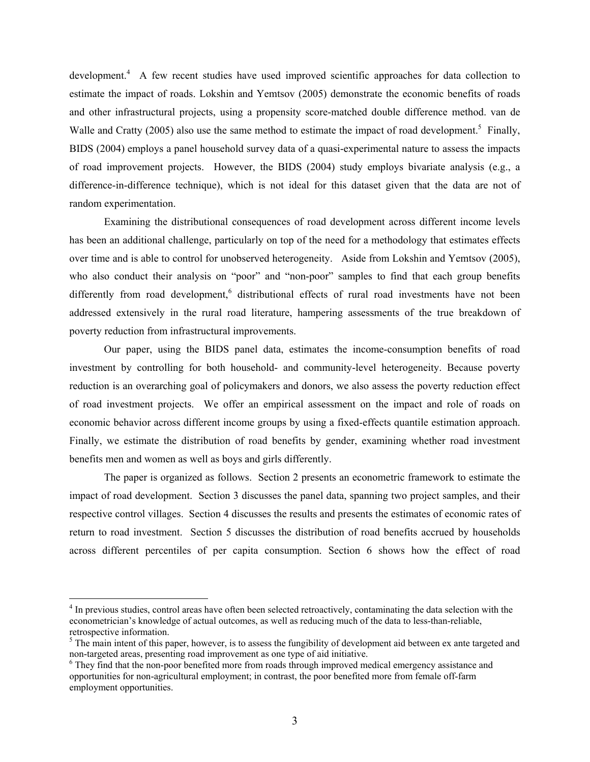development.<sup>4</sup> A few recent studies have used improved scientific approaches for data collection to estimate the impact of roads. Lokshin and Yemtsov (2005) demonstrate the economic benefits of roads and other infrastructural projects, using a propensity score-matched double difference method. van de Walle and Cratty (2005) also use the same method to estimate the impact of road development.<sup>5</sup> Finally, BIDS (2004) employs a panel household survey data of a quasi-experimental nature to assess the impacts of road improvement projects. However, the BIDS (2004) study employs bivariate analysis (e.g., a difference-in-difference technique), which is not ideal for this dataset given that the data are not of random experimentation.

Examining the distributional consequences of road development across different income levels has been an additional challenge, particularly on top of the need for a methodology that estimates effects over time and is able to control for unobserved heterogeneity. Aside from Lokshin and Yemtsov (2005), who also conduct their analysis on "poor" and "non-poor" samples to find that each group benefits differently from road development,<sup>6</sup> distributional effects of rural road investments have not been addressed extensively in the rural road literature, hampering assessments of the true breakdown of poverty reduction from infrastructural improvements.

Our paper, using the BIDS panel data, estimates the income-consumption benefits of road investment by controlling for both household- and community-level heterogeneity. Because poverty reduction is an overarching goal of policymakers and donors, we also assess the poverty reduction effect of road investment projects. We offer an empirical assessment on the impact and role of roads on economic behavior across different income groups by using a fixed-effects quantile estimation approach. Finally, we estimate the distribution of road benefits by gender, examining whether road investment benefits men and women as well as boys and girls differently.

The paper is organized as follows. Section 2 presents an econometric framework to estimate the impact of road development. Section 3 discusses the panel data, spanning two project samples, and their respective control villages. Section 4 discusses the results and presents the estimates of economic rates of return to road investment. Section 5 discusses the distribution of road benefits accrued by households across different percentiles of per capita consumption. Section 6 shows how the effect of road

 $\overline{a}$ 

<sup>&</sup>lt;sup>4</sup> In previous studies, control areas have often been selected retroactively, contaminating the data selection with the econometrician's knowledge of actual outcomes, as well as reducing much of the data to less-than-reliable, retrospective information.

 $<sup>5</sup>$  The main intent of this paper, however, is to assess the fungibility of development aid between ex ante targeted and</sup> non-targeted areas, presenting road improvement as one type of aid initiative.

<sup>&</sup>lt;sup>6</sup> They find that the non-poor benefited more from roads through improved medical emergency assistance and opportunities for non-agricultural employment; in contrast, the poor benefited more from female off-farm employment opportunities.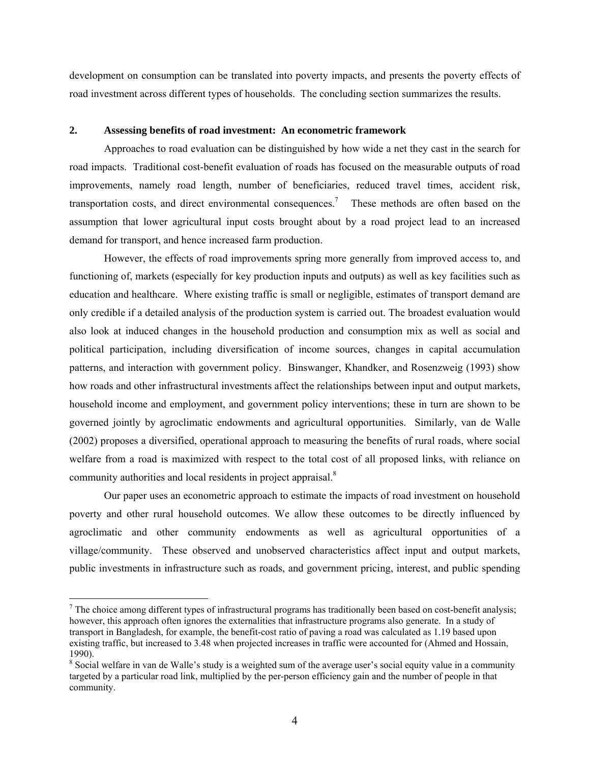development on consumption can be translated into poverty impacts, and presents the poverty effects of road investment across different types of households. The concluding section summarizes the results.

#### **2. Assessing benefits of road investment: An econometric framework**

Approaches to road evaluation can be distinguished by how wide a net they cast in the search for road impacts. Traditional cost-benefit evaluation of roads has focused on the measurable outputs of road improvements, namely road length, number of beneficiaries, reduced travel times, accident risk, transportation costs, and direct environmental consequences.<sup>7</sup> These methods are often based on the assumption that lower agricultural input costs brought about by a road project lead to an increased demand for transport, and hence increased farm production.

However, the effects of road improvements spring more generally from improved access to, and functioning of, markets (especially for key production inputs and outputs) as well as key facilities such as education and healthcare. Where existing traffic is small or negligible, estimates of transport demand are only credible if a detailed analysis of the production system is carried out. The broadest evaluation would also look at induced changes in the household production and consumption mix as well as social and political participation, including diversification of income sources, changes in capital accumulation patterns, and interaction with government policy. Binswanger, Khandker, and Rosenzweig (1993) show how roads and other infrastructural investments affect the relationships between input and output markets, household income and employment, and government policy interventions; these in turn are shown to be governed jointly by agroclimatic endowments and agricultural opportunities. Similarly, van de Walle (2002) proposes a diversified, operational approach to measuring the benefits of rural roads, where social welfare from a road is maximized with respect to the total cost of all proposed links, with reliance on community authorities and local residents in project appraisal.<sup>8</sup>

Our paper uses an econometric approach to estimate the impacts of road investment on household poverty and other rural household outcomes. We allow these outcomes to be directly influenced by agroclimatic and other community endowments as well as agricultural opportunities of a village/community. These observed and unobserved characteristics affect input and output markets, public investments in infrastructure such as roads, and government pricing, interest, and public spending

 $\overline{a}$ 

 $<sup>7</sup>$  The choice among different types of infrastructural programs has traditionally been based on cost-benefit analysis;</sup> however, this approach often ignores the externalities that infrastructure programs also generate. In a study of transport in Bangladesh, for example, the benefit-cost ratio of paving a road was calculated as 1.19 based upon existing traffic, but increased to 3.48 when projected increases in traffic were accounted for (Ahmed and Hossain, 1990).

<sup>&</sup>lt;sup>8</sup> Social welfare in van de Walle's study is a weighted sum of the average user's social equity value in a community targeted by a particular road link, multiplied by the per-person efficiency gain and the number of people in that community.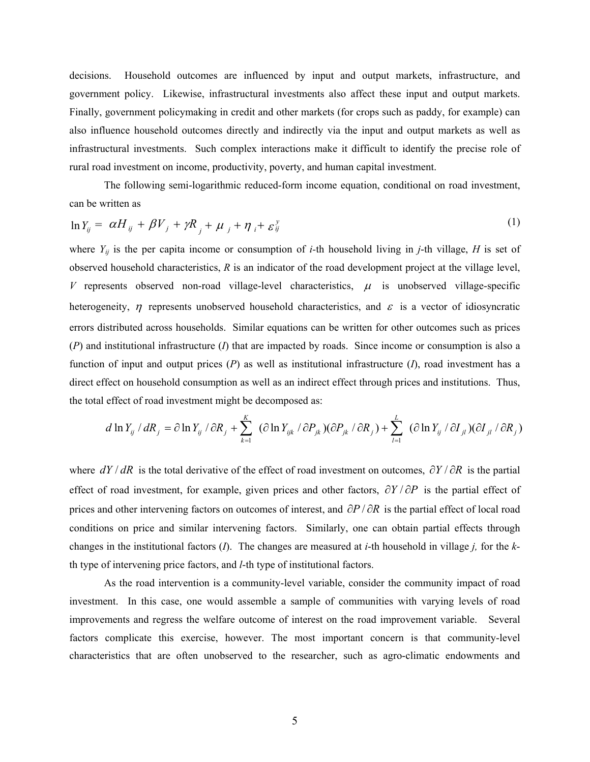decisions. Household outcomes are influenced by input and output markets, infrastructure, and government policy. Likewise, infrastructural investments also affect these input and output markets. Finally, government policymaking in credit and other markets (for crops such as paddy, for example) can also influence household outcomes directly and indirectly via the input and output markets as well as infrastructural investments. Such complex interactions make it difficult to identify the precise role of rural road investment on income, productivity, poverty, and human capital investment.

The following semi-logarithmic reduced-form income equation, conditional on road investment, can be written as

$$
\ln Y_{ij} = \alpha H_{ij} + \beta V_j + \gamma R_j + \mu_j + \eta_i + \varepsilon_{ij}^y \tag{1}
$$

where  $Y_{ij}$  is the per capita income or consumption of *i*-th household living in *j*-th village, *H* is set of observed household characteristics, *R* is an indicator of the road development project at the village level, *V* represents observed non-road village-level characteristics,  $\mu$  is unobserved village-specific heterogeneity,  $\eta$  represents unobserved household characteristics, and  $\varepsilon$  is a vector of idiosyncratic errors distributed across households. Similar equations can be written for other outcomes such as prices (*P*) and institutional infrastructure (*I*) that are impacted by roads. Since income or consumption is also a function of input and output prices (*P*) as well as institutional infrastructure (*I*), road investment has a direct effect on household consumption as well as an indirect effect through prices and institutions. Thus, the total effect of road investment might be decomposed as:

$$
d \ln Y_{ij} / dR_j = \partial \ln Y_{ij} / \partial R_j + \sum_{k=1}^K (\partial \ln Y_{ijk} / \partial P_{jk}) (\partial P_{jk} / \partial R_j) + \sum_{l=1}^L (\partial \ln Y_{ij} / \partial I_{jl}) (\partial I_{jl} / \partial R_j)
$$

where *dY* / *dR* is the total derivative of the effect of road investment on outcomes, ∂*Y* / ∂*R* is the partial effect of road investment, for example, given prices and other factors, ∂*Y* / ∂*P* is the partial effect of prices and other intervening factors on outcomes of interest, and ∂*P* / ∂*R* is the partial effect of local road conditions on price and similar intervening factors. Similarly, one can obtain partial effects through changes in the institutional factors (*I*). The changes are measured at *i*-th household in village *j,* for the *k*th type of intervening price factors, and *l*-th type of institutional factors.

As the road intervention is a community-level variable, consider the community impact of road investment. In this case, one would assemble a sample of communities with varying levels of road improvements and regress the welfare outcome of interest on the road improvement variable. Several factors complicate this exercise, however. The most important concern is that community-level characteristics that are often unobserved to the researcher, such as agro-climatic endowments and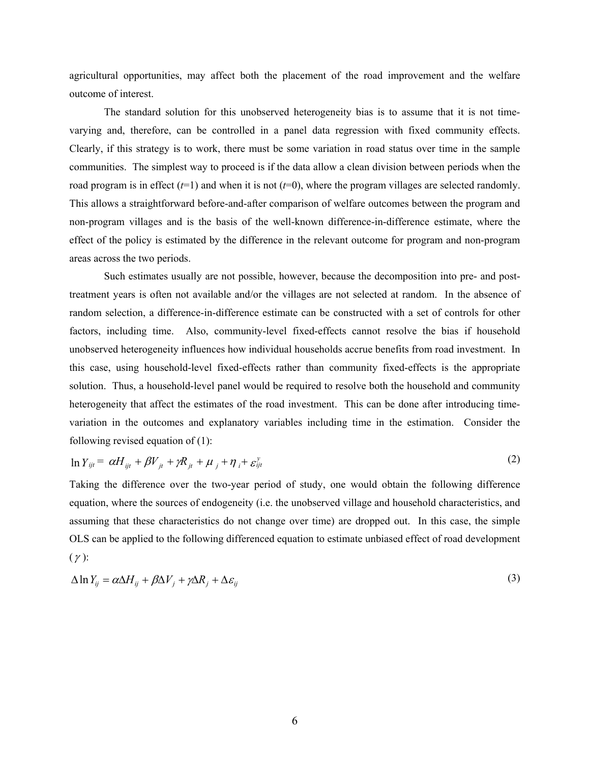agricultural opportunities, may affect both the placement of the road improvement and the welfare outcome of interest.

The standard solution for this unobserved heterogeneity bias is to assume that it is not timevarying and, therefore, can be controlled in a panel data regression with fixed community effects. Clearly, if this strategy is to work, there must be some variation in road status over time in the sample communities. The simplest way to proceed is if the data allow a clean division between periods when the road program is in effect  $(t=1)$  and when it is not  $(t=0)$ , where the program villages are selected randomly. This allows a straightforward before-and-after comparison of welfare outcomes between the program and non-program villages and is the basis of the well-known difference-in-difference estimate, where the effect of the policy is estimated by the difference in the relevant outcome for program and non-program areas across the two periods.

Such estimates usually are not possible, however, because the decomposition into pre- and posttreatment years is often not available and/or the villages are not selected at random. In the absence of random selection, a difference-in-difference estimate can be constructed with a set of controls for other factors, including time. Also, community-level fixed-effects cannot resolve the bias if household unobserved heterogeneity influences how individual households accrue benefits from road investment. In this case, using household-level fixed-effects rather than community fixed-effects is the appropriate solution. Thus, a household-level panel would be required to resolve both the household and community heterogeneity that affect the estimates of the road investment. This can be done after introducing timevariation in the outcomes and explanatory variables including time in the estimation. Consider the following revised equation of (1):

$$
\ln Y_{ijt} = \alpha H_{ijt} + \beta V_{jt} + \gamma R_{jt} + \mu_j + \eta_i + \varepsilon_{ijt}^y
$$
\n<sup>(2)</sup>

Taking the difference over the two-year period of study, one would obtain the following difference equation, where the sources of endogeneity (i.e. the unobserved village and household characteristics, and assuming that these characteristics do not change over time) are dropped out. In this case, the simple OLS can be applied to the following differenced equation to estimate unbiased effect of road development  $(\gamma)$ :

$$
\Delta \ln Y_{ij} = \alpha \Delta H_{ij} + \beta \Delta V_j + \gamma \Delta R_j + \Delta \varepsilon_{ij}
$$
\n(3)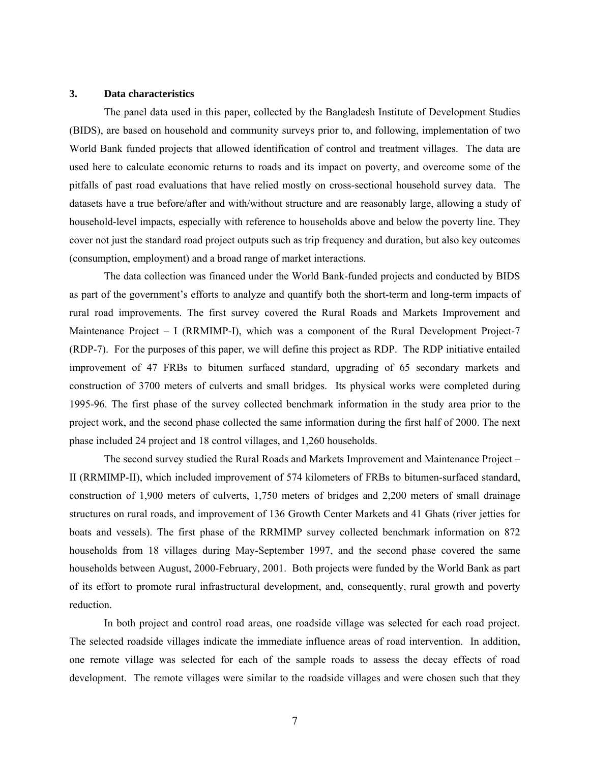#### **3. Data characteristics**

The panel data used in this paper, collected by the Bangladesh Institute of Development Studies (BIDS), are based on household and community surveys prior to, and following, implementation of two World Bank funded projects that allowed identification of control and treatment villages. The data are used here to calculate economic returns to roads and its impact on poverty, and overcome some of the pitfalls of past road evaluations that have relied mostly on cross-sectional household survey data. The datasets have a true before/after and with/without structure and are reasonably large, allowing a study of household-level impacts, especially with reference to households above and below the poverty line. They cover not just the standard road project outputs such as trip frequency and duration, but also key outcomes (consumption, employment) and a broad range of market interactions.

The data collection was financed under the World Bank-funded projects and conducted by BIDS as part of the government's efforts to analyze and quantify both the short-term and long-term impacts of rural road improvements. The first survey covered the Rural Roads and Markets Improvement and Maintenance Project - I (RRMIMP-I), which was a component of the Rural Development Project-7 (RDP-7). For the purposes of this paper, we will define this project as RDP. The RDP initiative entailed improvement of 47 FRBs to bitumen surfaced standard, upgrading of 65 secondary markets and construction of 3700 meters of culverts and small bridges. Its physical works were completed during 1995-96. The first phase of the survey collected benchmark information in the study area prior to the project work, and the second phase collected the same information during the first half of 2000. The next phase included 24 project and 18 control villages, and 1,260 households.

The second survey studied the Rural Roads and Markets Improvement and Maintenance Project – II (RRMIMP-II), which included improvement of 574 kilometers of FRBs to bitumen-surfaced standard, construction of 1,900 meters of culverts, 1,750 meters of bridges and 2,200 meters of small drainage structures on rural roads, and improvement of 136 Growth Center Markets and 41 Ghats (river jetties for boats and vessels). The first phase of the RRMIMP survey collected benchmark information on 872 households from 18 villages during May-September 1997, and the second phase covered the same households between August, 2000-February, 2001. Both projects were funded by the World Bank as part of its effort to promote rural infrastructural development, and, consequently, rural growth and poverty reduction.

In both project and control road areas, one roadside village was selected for each road project. The selected roadside villages indicate the immediate influence areas of road intervention. In addition, one remote village was selected for each of the sample roads to assess the decay effects of road development. The remote villages were similar to the roadside villages and were chosen such that they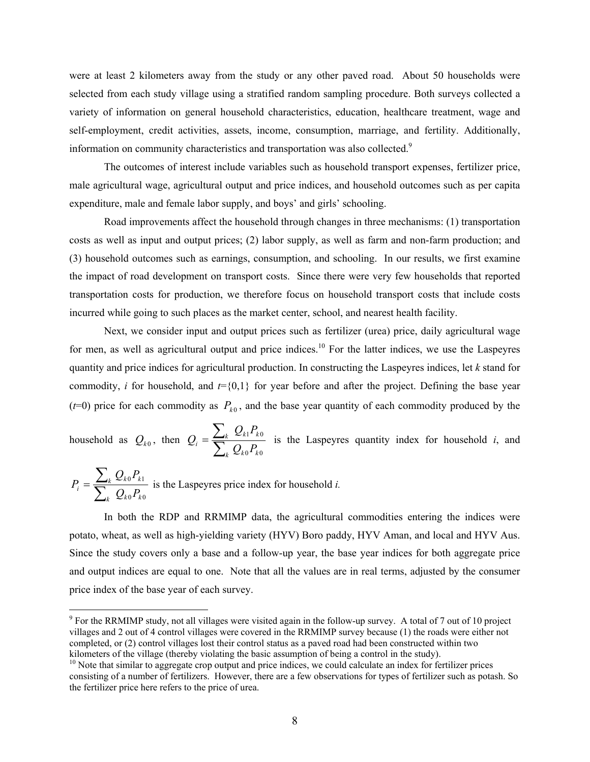were at least 2 kilometers away from the study or any other paved road. About 50 households were selected from each study village using a stratified random sampling procedure. Both surveys collected a variety of information on general household characteristics, education, healthcare treatment, wage and self-employment, credit activities, assets, income, consumption, marriage, and fertility. Additionally, information on community characteristics and transportation was also collected. $9$ 

The outcomes of interest include variables such as household transport expenses, fertilizer price, male agricultural wage, agricultural output and price indices, and household outcomes such as per capita expenditure, male and female labor supply, and boys' and girls' schooling.

Road improvements affect the household through changes in three mechanisms: (1) transportation costs as well as input and output prices; (2) labor supply, as well as farm and non-farm production; and (3) household outcomes such as earnings, consumption, and schooling. In our results, we first examine the impact of road development on transport costs. Since there were very few households that reported transportation costs for production, we therefore focus on household transport costs that include costs incurred while going to such places as the market center, school, and nearest health facility.

Next, we consider input and output prices such as fertilizer (urea) price, daily agricultural wage for men, as well as agricultural output and price indices.<sup>10</sup> For the latter indices, we use the Laspeyres quantity and price indices for agricultural production. In constructing the Laspeyres indices, let *k* stand for commodity, *i* for household, and  $t = \{0,1\}$  for year before and after the project. Defining the base year ( $t=0$ ) price for each commodity as  $P_{k0}$ , and the base year quantity of each commodity produced by the

household as  $Q_{k0}$ , then  $Q_i = \sum_{i=1}^{n}$  $=\frac{\sum}{}$  $k \mathcal{L}_{k0}$ <sup>1</sup>  $k$  $\mathcal{L}_k \mathbf{L}_k$ <sup>1</sup> k  $i = \sum_{k} Q_{k0} P_k$  $Q_{k1}P$ *Q*  $0$ <sup>1</sup>  $k$ 0  $\frac{1^2 k_0}{2}$  is the Laspeyres quantity index for household *i*, and

$$
P_i = \frac{\sum_k Q_{k0} P_{k1}}{\sum_k Q_{k0} P_{k0}}
$$
 is the Laspeyres price index for household *i*.

 $\overline{a}$ 

In both the RDP and RRMIMP data, the agricultural commodities entering the indices were potato, wheat, as well as high-yielding variety (HYV) Boro paddy, HYV Aman, and local and HYV Aus. Since the study covers only a base and a follow-up year, the base year indices for both aggregate price and output indices are equal to one. Note that all the values are in real terms, adjusted by the consumer price index of the base year of each survey.

 $9^9$  For the RRMIMP study, not all villages were visited again in the follow-up survey. A total of 7 out of 10 project villages and 2 out of 4 control villages were covered in the RRMIMP survey because (1) the roads were either not completed, or (2) control villages lost their control status as a paved road had been constructed within two kilometers of the village (thereby violating the basic assumption of being a control in the study).

<sup>&</sup>lt;sup>10</sup> Note that similar to aggregate crop output and price indices, we could calculate an index for fertilizer prices consisting of a number of fertilizers. However, there are a few observations for types of fertilizer such as potash. So the fertilizer price here refers to the price of urea.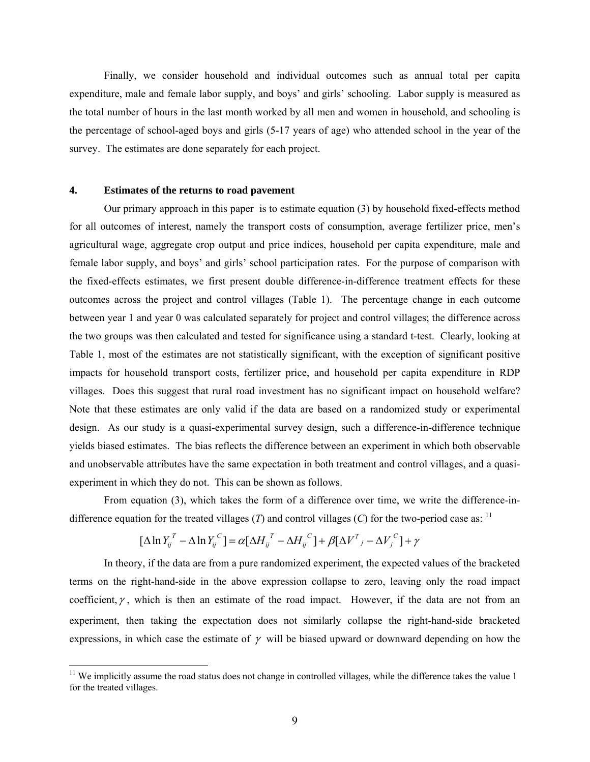Finally, we consider household and individual outcomes such as annual total per capita expenditure, male and female labor supply, and boys' and girls' schooling. Labor supply is measured as the total number of hours in the last month worked by all men and women in household, and schooling is the percentage of school-aged boys and girls (5-17 years of age) who attended school in the year of the survey. The estimates are done separately for each project.

#### **4. Estimates of the returns to road pavement**

 $\overline{a}$ 

Our primary approach in this paper is to estimate equation (3) by household fixed-effects method for all outcomes of interest, namely the transport costs of consumption, average fertilizer price, men's agricultural wage, aggregate crop output and price indices, household per capita expenditure, male and female labor supply, and boys' and girls' school participation rates. For the purpose of comparison with the fixed-effects estimates, we first present double difference-in-difference treatment effects for these outcomes across the project and control villages (Table 1). The percentage change in each outcome between year 1 and year 0 was calculated separately for project and control villages; the difference across the two groups was then calculated and tested for significance using a standard t-test. Clearly, looking at Table 1, most of the estimates are not statistically significant, with the exception of significant positive impacts for household transport costs, fertilizer price, and household per capita expenditure in RDP villages. Does this suggest that rural road investment has no significant impact on household welfare? Note that these estimates are only valid if the data are based on a randomized study or experimental design. As our study is a quasi-experimental survey design, such a difference-in-difference technique yields biased estimates. The bias reflects the difference between an experiment in which both observable and unobservable attributes have the same expectation in both treatment and control villages, and a quasiexperiment in which they do not. This can be shown as follows.

From equation (3), which takes the form of a difference over time, we write the difference-indifference equation for the treated villages  $(T)$  and control villages  $(C)$  for the two-period case as:  $11$ 

$$
\left[\Delta \ln Y_{ij}^T - \Delta \ln Y_{ij}^C\right] = \alpha \left[\Delta H_{ij}^T - \Delta H_{ij}^C\right] + \beta \left[\Delta V^T - \Delta V_j^C\right] + \gamma
$$

In theory, if the data are from a pure randomized experiment, the expected values of the bracketed terms on the right-hand-side in the above expression collapse to zero, leaving only the road impact coefficient,  $\gamma$ , which is then an estimate of the road impact. However, if the data are not from an experiment, then taking the expectation does not similarly collapse the right-hand-side bracketed expressions, in which case the estimate of  $\gamma$  will be biased upward or downward depending on how the

 $11$  We implicitly assume the road status does not change in controlled villages, while the difference takes the value 1 for the treated villages.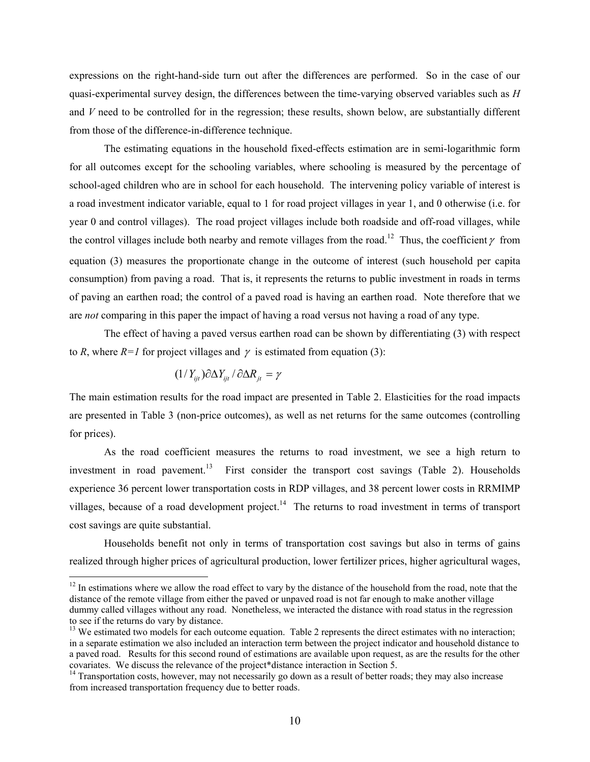expressions on the right-hand-side turn out after the differences are performed. So in the case of our quasi-experimental survey design, the differences between the time-varying observed variables such as *H* and *V* need to be controlled for in the regression; these results, shown below, are substantially different from those of the difference-in-difference technique.

The estimating equations in the household fixed-effects estimation are in semi-logarithmic form for all outcomes except for the schooling variables, where schooling is measured by the percentage of school-aged children who are in school for each household. The intervening policy variable of interest is a road investment indicator variable, equal to 1 for road project villages in year 1, and 0 otherwise (i.e. for year 0 and control villages). The road project villages include both roadside and off-road villages, while the control villages include both nearby and remote villages from the road.<sup>12</sup> Thus, the coefficient  $\gamma$  from equation (3) measures the proportionate change in the outcome of interest (such household per capita consumption) from paving a road. That is, it represents the returns to public investment in roads in terms of paving an earthen road; the control of a paved road is having an earthen road. Note therefore that we are *not* comparing in this paper the impact of having a road versus not having a road of any type.

The effect of having a paved versus earthen road can be shown by differentiating (3) with respect to *R*, where  $R=1$  for project villages and  $\gamma$  is estimated from equation (3):

$$
(1/Y_{ijt})\partial \Delta Y_{ijt}/\partial \Delta R_{jt} = \gamma
$$

 $\overline{a}$ 

The main estimation results for the road impact are presented in Table 2. Elasticities for the road impacts are presented in Table 3 (non-price outcomes), as well as net returns for the same outcomes (controlling for prices).

 As the road coefficient measures the returns to road investment, we see a high return to investment in road pavement.<sup>13</sup> First consider the transport cost savings (Table 2). Households experience 36 percent lower transportation costs in RDP villages, and 38 percent lower costs in RRMIMP villages, because of a road development project.<sup>14</sup> The returns to road investment in terms of transport cost savings are quite substantial.

Households benefit not only in terms of transportation cost savings but also in terms of gains realized through higher prices of agricultural production, lower fertilizer prices, higher agricultural wages,

 $12$  In estimations where we allow the road effect to vary by the distance of the household from the road, note that the distance of the remote village from either the paved or unpaved road is not far enough to make another village dummy called villages without any road. Nonetheless, we interacted the distance with road status in the regression to see if the returns do vary by distance.

<sup>&</sup>lt;sup>13</sup> We estimated two models for each outcome equation. Table 2 represents the direct estimates with no interaction; in a separate estimation we also included an interaction term between the project indicator and household distance to a paved road. Results for this second round of estimations are available upon request, as are the results for the other covariates. We discuss the relevance of the project\*distance interaction in Section 5.

<sup>&</sup>lt;sup>14</sup> Transportation costs, however, may not necessarily go down as a result of better roads; they may also increase from increased transportation frequency due to better roads.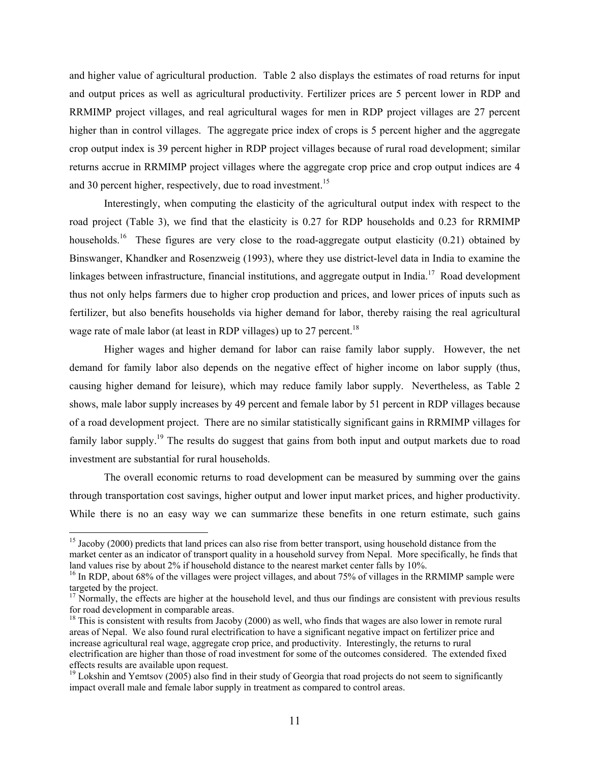and higher value of agricultural production. Table 2 also displays the estimates of road returns for input and output prices as well as agricultural productivity. Fertilizer prices are 5 percent lower in RDP and RRMIMP project villages, and real agricultural wages for men in RDP project villages are 27 percent higher than in control villages. The aggregate price index of crops is 5 percent higher and the aggregate crop output index is 39 percent higher in RDP project villages because of rural road development; similar returns accrue in RRMIMP project villages where the aggregate crop price and crop output indices are 4 and 30 percent higher, respectively, due to road investment.<sup>15</sup>

Interestingly, when computing the elasticity of the agricultural output index with respect to the road project (Table 3), we find that the elasticity is 0.27 for RDP households and 0.23 for RRMIMP households.<sup>16</sup> These figures are very close to the road-aggregate output elasticity (0.21) obtained by Binswanger, Khandker and Rosenzweig (1993), where they use district-level data in India to examine the linkages between infrastructure, financial institutions, and aggregate output in India.<sup>17</sup> Road development thus not only helps farmers due to higher crop production and prices, and lower prices of inputs such as fertilizer, but also benefits households via higher demand for labor, thereby raising the real agricultural wage rate of male labor (at least in RDP villages) up to 27 percent.<sup>18</sup>

Higher wages and higher demand for labor can raise family labor supply. However, the net demand for family labor also depends on the negative effect of higher income on labor supply (thus, causing higher demand for leisure), which may reduce family labor supply. Nevertheless, as Table 2 shows, male labor supply increases by 49 percent and female labor by 51 percent in RDP villages because of a road development project. There are no similar statistically significant gains in RRMIMP villages for family labor supply.<sup>19</sup> The results do suggest that gains from both input and output markets due to road investment are substantial for rural households.

The overall economic returns to road development can be measured by summing over the gains through transportation cost savings, higher output and lower input market prices, and higher productivity. While there is no an easy way we can summarize these benefits in one return estimate, such gains

 $\overline{a}$ 

<sup>&</sup>lt;sup>15</sup> Jacoby (2000) predicts that land prices can also rise from better transport, using household distance from the market center as an indicator of transport quality in a household survey from Nepal. More specifically, he finds that land values rise by about 2% if household distance to the nearest market center falls by 10%.

<sup>&</sup>lt;sup>16</sup> In RDP, about 68% of the villages were project villages, and about 75% of villages in the RRMIMP sample were targeted by the project.

 $17$  Normally, the effects are higher at the household level, and thus our findings are consistent with previous results for road development in comparable areas.

 $18$  This is consistent with results from Jacoby (2000) as well, who finds that wages are also lower in remote rural areas of Nepal. We also found rural electrification to have a significant negative impact on fertilizer price and increase agricultural real wage, aggregate crop price, and productivity. Interestingly, the returns to rural electrification are higher than those of road investment for some of the outcomes considered. The extended fixed effects results are available upon request.

<sup>&</sup>lt;sup>19</sup> Lokshin and Yemtsov (2005) also find in their study of Georgia that road projects do not seem to significantly impact overall male and female labor supply in treatment as compared to control areas.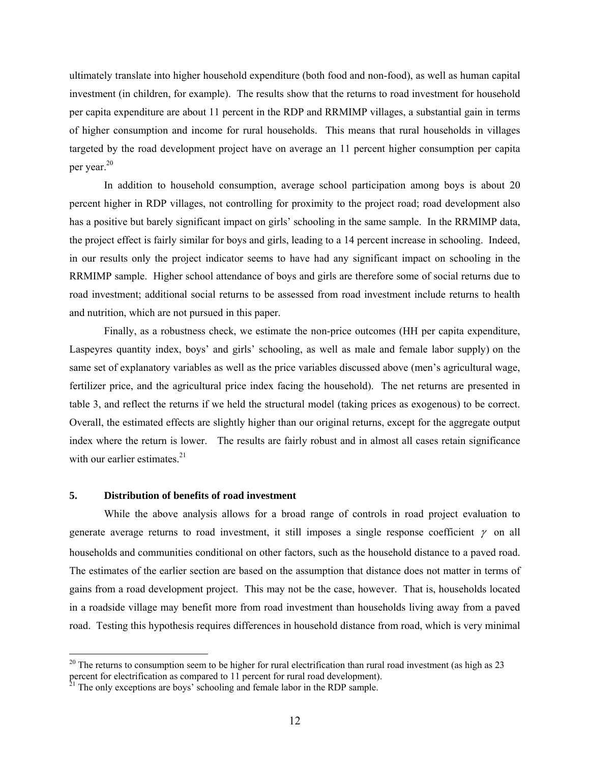ultimately translate into higher household expenditure (both food and non-food), as well as human capital investment (in children, for example). The results show that the returns to road investment for household per capita expenditure are about 11 percent in the RDP and RRMIMP villages, a substantial gain in terms of higher consumption and income for rural households. This means that rural households in villages targeted by the road development project have on average an 11 percent higher consumption per capita per year.<sup>20</sup>

In addition to household consumption, average school participation among boys is about 20 percent higher in RDP villages, not controlling for proximity to the project road; road development also has a positive but barely significant impact on girls' schooling in the same sample. In the RRMIMP data, the project effect is fairly similar for boys and girls, leading to a 14 percent increase in schooling. Indeed, in our results only the project indicator seems to have had any significant impact on schooling in the RRMIMP sample. Higher school attendance of boys and girls are therefore some of social returns due to road investment; additional social returns to be assessed from road investment include returns to health and nutrition, which are not pursued in this paper.

Finally, as a robustness check, we estimate the non-price outcomes (HH per capita expenditure, Laspeyres quantity index, boys' and girls' schooling, as well as male and female labor supply) on the same set of explanatory variables as well as the price variables discussed above (men's agricultural wage, fertilizer price, and the agricultural price index facing the household). The net returns are presented in table 3, and reflect the returns if we held the structural model (taking prices as exogenous) to be correct. Overall, the estimated effects are slightly higher than our original returns, except for the aggregate output index where the return is lower. The results are fairly robust and in almost all cases retain significance with our earlier estimates. $21$ 

#### **5. Distribution of benefits of road investment**

 $\overline{a}$ 

While the above analysis allows for a broad range of controls in road project evaluation to generate average returns to road investment, it still imposes a single response coefficient  $\gamma$  on all households and communities conditional on other factors, such as the household distance to a paved road. The estimates of the earlier section are based on the assumption that distance does not matter in terms of gains from a road development project. This may not be the case, however. That is, households located in a roadside village may benefit more from road investment than households living away from a paved road. Testing this hypothesis requires differences in household distance from road, which is very minimal

 $20$  The returns to consumption seem to be higher for rural electrification than rural road investment (as high as 23 percent for electrification as compared to 11 percent for rural road development). 21 The only exceptions are boys' schooling and female labor in the RDP sample.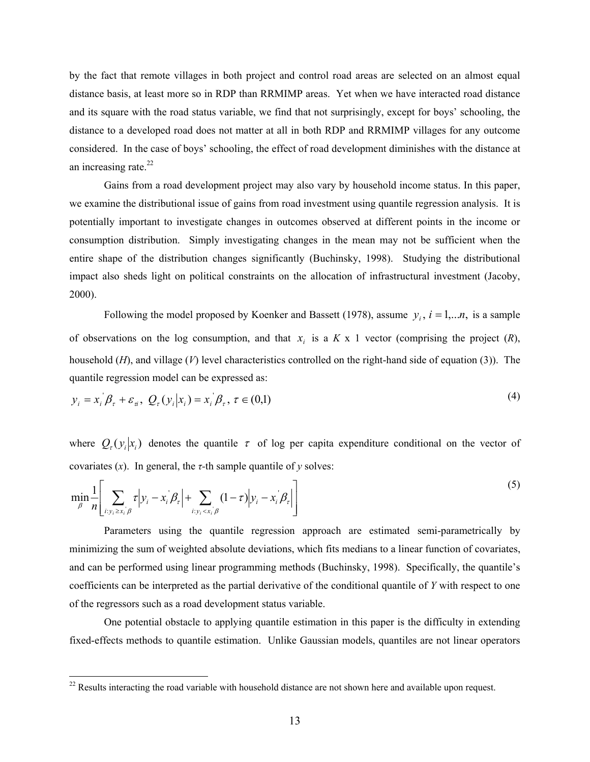by the fact that remote villages in both project and control road areas are selected on an almost equal distance basis, at least more so in RDP than RRMIMP areas. Yet when we have interacted road distance and its square with the road status variable, we find that not surprisingly, except for boys' schooling, the distance to a developed road does not matter at all in both RDP and RRMIMP villages for any outcome considered. In the case of boys' schooling, the effect of road development diminishes with the distance at an increasing rate.<sup>22</sup>

Gains from a road development project may also vary by household income status. In this paper, we examine the distributional issue of gains from road investment using quantile regression analysis. It is potentially important to investigate changes in outcomes observed at different points in the income or consumption distribution. Simply investigating changes in the mean may not be sufficient when the entire shape of the distribution changes significantly (Buchinsky, 1998). Studying the distributional impact also sheds light on political constraints on the allocation of infrastructural investment (Jacoby, 2000).

Following the model proposed by Koenker and Bassett (1978), assume  $y_i$ ,  $i = 1,...n$ , is a sample of observations on the log consumption, and that  $x_i$  is a  $K \times 1$  vector (comprising the project  $(R)$ , household (*H*), and village (*V*) level characteristics controlled on the right-hand side of equation (3)). The quantile regression model can be expressed as:

$$
y_i = x_i \beta_\tau + \varepsilon_\pi, \ Q_\tau(y_i|x_i) = x_i \beta_\tau, \ \tau \in (0,1)
$$

where  $Q_{\tau}( y_i | x_i)$  denotes the quantile  $\tau$  of log per capita expenditure conditional on the vector of covariates  $(x)$ . In general, the *τ*-th sample quantile of *y* solves:

$$
\min_{\beta} \frac{1}{n} \left[ \sum_{i: y_i \ge x_i \mid \beta} \tau \middle| y_i - x_i \middle| \beta_\tau \middle| + \sum_{i: y_i < x_i \mid \beta} (1 - \tau) \middle| y_i - x_i \middle| \beta_\tau \right] \right]
$$
\n
$$
\tag{5}
$$

Parameters using the quantile regression approach are estimated semi-parametrically by minimizing the sum of weighted absolute deviations, which fits medians to a linear function of covariates, and can be performed using linear programming methods (Buchinsky, 1998). Specifically, the quantile's coefficients can be interpreted as the partial derivative of the conditional quantile of *Y* with respect to one of the regressors such as a road development status variable.

One potential obstacle to applying quantile estimation in this paper is the difficulty in extending fixed-effects methods to quantile estimation. Unlike Gaussian models, quantiles are not linear operators

 $\overline{a}$ 

 $^{22}$  Results interacting the road variable with household distance are not shown here and available upon request.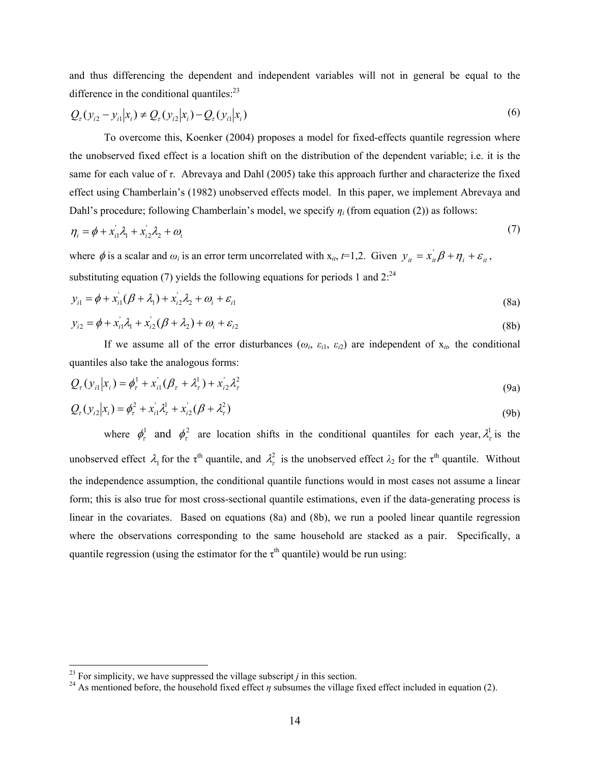and thus differencing the dependent and independent variables will not in general be equal to the difference in the conditional quantiles: $^{23}$ 

$$
Q_{\tau}(y_{i2} - y_{i1}|x_i) \neq Q_{\tau}(y_{i2}|x_i) - Q_{\tau}(y_{i1}|x_i)
$$
\n(6)

To overcome this, Koenker (2004) proposes a model for fixed-effects quantile regression where the unobserved fixed effect is a location shift on the distribution of the dependent variable; i.e. it is the same for each value of *τ*. Abrevaya and Dahl (2005) take this approach further and characterize the fixed effect using Chamberlain's (1982) unobserved effects model. In this paper, we implement Abrevaya and Dahl's procedure; following Chamberlain's model, we specify *ηi* (from equation (2)) as follows:

$$
\eta_i = \phi + x_{i1}^{\dagger} \lambda_1 + x_{i2}^{\dagger} \lambda_2 + \omega_i \tag{7}
$$

where  $\phi$  is a scalar and  $\omega_i$  is an error term uncorrelated with  $x_{it}$ ,  $t=1,2$ . Given  $y_{it} = x_{it} \cdot \beta + \eta_i + \varepsilon_i$ , substituting equation (7) yields the following equations for periods 1 and  $2^{24}$ 

$$
y_{i1} = \phi + x_{i1}^{'}(\beta + \lambda_1) + x_{i2}^{'}\lambda_2 + \omega_i + \varepsilon_{i1}
$$
\n(8a)

$$
y_{i2} = \phi + x_{i1}^{'} \lambda_1 + x_{i2}^{'} (\beta + \lambda_2) + \omega_i + \varepsilon_{i2}
$$
\n(8b)

If we assume all of the error disturbances  $(\omega_i, \varepsilon_{i1}, \varepsilon_{i2})$  are independent of  $x_{i}$ , the conditional quantiles also take the analogous forms:

$$
Q_{\tau}(y_{i1}|x_{i}) = \phi_{\tau}^{1} + x_{i1}^{'}(\beta_{\tau} + \lambda_{\tau}^{1}) + x_{i2}^{'}\lambda_{\tau}^{2}
$$
\n(9a)

$$
Q_{\tau}(y_{i2}|x_i) = \phi_{\tau}^2 + x_{i1}'\lambda_{\tau}^1 + x_{i2}'(\beta + \lambda_{\tau}^2)
$$
\n(9b)

where  $\phi_r^1$  and  $\phi_r^2$  are location shifts in the conditional quantiles for each year,  $\lambda_r^1$  is the unobserved effect  $\lambda_1$  for the  $\tau^{\text{th}}$  quantile, and  $\lambda_\tau^2$  is the unobserved effect  $\lambda_2$  for the  $\tau^{\text{th}}$  quantile. Without the independence assumption, the conditional quantile functions would in most cases not assume a linear form; this is also true for most cross-sectional quantile estimations, even if the data-generating process is linear in the covariates. Based on equations (8a) and (8b), we run a pooled linear quantile regression where the observations corresponding to the same household are stacked as a pair. Specifically, a quantile regression (using the estimator for the  $\tau^{th}$  quantile) would be run using:

 $\overline{a}$ 

<sup>&</sup>lt;sup>23</sup> For simplicity, we have suppressed the village subscript *j* in this section.<br><sup>24</sup> As mentioned before, the household fixed effect *η* subsumes the village fixed effect included in equation (2).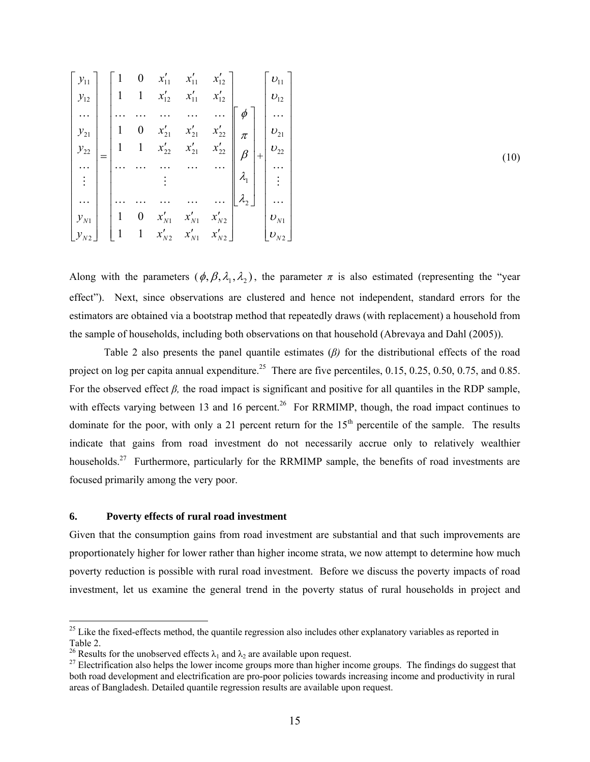Along with the parameters  $(\phi, \beta, \lambda_1, \lambda_2)$ , the parameter  $\pi$  is also estimated (representing the "year effect"). Next, since observations are clustered and hence not independent, standard errors for the estimators are obtained via a bootstrap method that repeatedly draws (with replacement) a household from the sample of households, including both observations on that household (Abrevaya and Dahl (2005)).

 Table 2 also presents the panel quantile estimates (*β)* for the distributional effects of the road project on log per capita annual expenditure.<sup>25</sup> There are five percentiles,  $0.15, 0.25, 0.50, 0.75,$  and 0.85. For the observed effect  $\beta$ , the road impact is significant and positive for all quantiles in the RDP sample, with effects varying between 13 and 16 percent.<sup>26</sup> For RRMIMP, though, the road impact continues to dominate for the poor, with only a 21 percent return for the  $15<sup>th</sup>$  percentile of the sample. The results indicate that gains from road investment do not necessarily accrue only to relatively wealthier households.<sup>27</sup> Furthermore, particularly for the RRMIMP sample, the benefits of road investments are focused primarily among the very poor.

#### **6. Poverty effects of rural road investment**

 $\overline{a}$ 

Given that the consumption gains from road investment are substantial and that such improvements are proportionately higher for lower rather than higher income strata, we now attempt to determine how much poverty reduction is possible with rural road investment. Before we discuss the poverty impacts of road investment, let us examine the general trend in the poverty status of rural households in project and

 $25$  Like the fixed-effects method, the quantile regression also includes other explanatory variables as reported in Table 2.<br><sup>26</sup> Results for the unobserved effects  $\lambda_1$  and  $\lambda_2$  are available upon request.

 $27$  Electrification also helps the lower income groups more than higher income groups. The findings do suggest that both road development and electrification are pro-poor policies towards increasing income and productivity in rural areas of Bangladesh. Detailed quantile regression results are available upon request.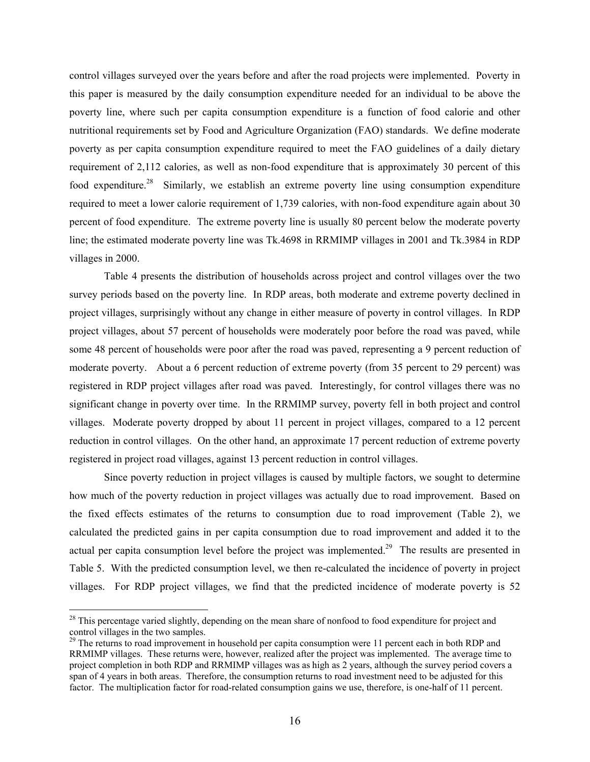control villages surveyed over the years before and after the road projects were implemented. Poverty in this paper is measured by the daily consumption expenditure needed for an individual to be above the poverty line, where such per capita consumption expenditure is a function of food calorie and other nutritional requirements set by Food and Agriculture Organization (FAO) standards. We define moderate poverty as per capita consumption expenditure required to meet the FAO guidelines of a daily dietary requirement of 2,112 calories, as well as non-food expenditure that is approximately 30 percent of this food expenditure.<sup>28</sup> Similarly, we establish an extreme poverty line using consumption expenditure required to meet a lower calorie requirement of 1,739 calories, with non-food expenditure again about 30 percent of food expenditure. The extreme poverty line is usually 80 percent below the moderate poverty line; the estimated moderate poverty line was Tk.4698 in RRMIMP villages in 2001 and Tk.3984 in RDP villages in 2000.

Table 4 presents the distribution of households across project and control villages over the two survey periods based on the poverty line. In RDP areas, both moderate and extreme poverty declined in project villages, surprisingly without any change in either measure of poverty in control villages. In RDP project villages, about 57 percent of households were moderately poor before the road was paved, while some 48 percent of households were poor after the road was paved, representing a 9 percent reduction of moderate poverty. About a 6 percent reduction of extreme poverty (from 35 percent to 29 percent) was registered in RDP project villages after road was paved. Interestingly, for control villages there was no significant change in poverty over time. In the RRMIMP survey, poverty fell in both project and control villages. Moderate poverty dropped by about 11 percent in project villages, compared to a 12 percent reduction in control villages. On the other hand, an approximate 17 percent reduction of extreme poverty registered in project road villages, against 13 percent reduction in control villages.

Since poverty reduction in project villages is caused by multiple factors, we sought to determine how much of the poverty reduction in project villages was actually due to road improvement. Based on the fixed effects estimates of the returns to consumption due to road improvement (Table 2), we calculated the predicted gains in per capita consumption due to road improvement and added it to the actual per capita consumption level before the project was implemented.<sup>29</sup> The results are presented in Table 5. With the predicted consumption level, we then re-calculated the incidence of poverty in project villages. For RDP project villages, we find that the predicted incidence of moderate poverty is 52

 $\overline{a}$ 

<sup>&</sup>lt;sup>28</sup> This percentage varied slightly, depending on the mean share of nonfood to food expenditure for project and control villages in the two samples.

<sup>&</sup>lt;sup>29</sup> The returns to road improvement in household per capita consumption were 11 percent each in both RDP and RRMIMP villages. These returns were, however, realized after the project was implemented. The average time to project completion in both RDP and RRMIMP villages was as high as 2 years, although the survey period covers a span of 4 years in both areas. Therefore, the consumption returns to road investment need to be adjusted for this factor. The multiplication factor for road-related consumption gains we use, therefore, is one-half of 11 percent.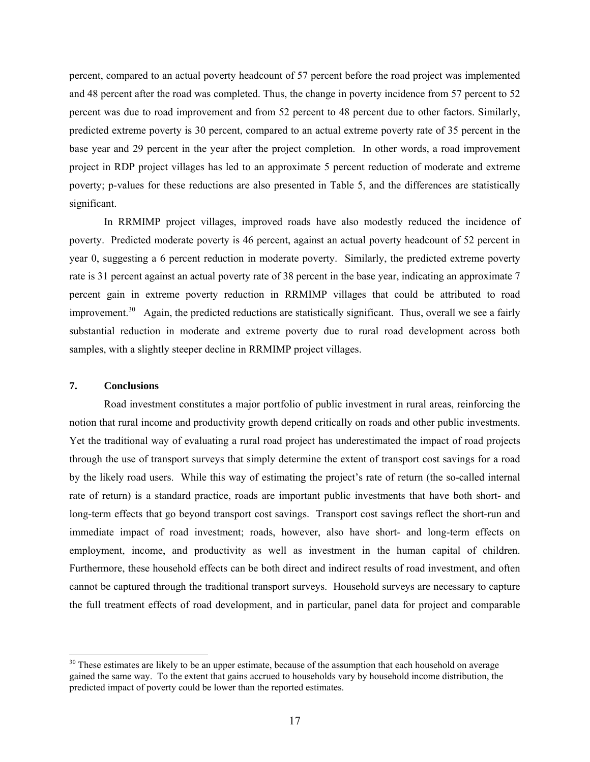percent, compared to an actual poverty headcount of 57 percent before the road project was implemented and 48 percent after the road was completed. Thus, the change in poverty incidence from 57 percent to 52 percent was due to road improvement and from 52 percent to 48 percent due to other factors. Similarly, predicted extreme poverty is 30 percent, compared to an actual extreme poverty rate of 35 percent in the base year and 29 percent in the year after the project completion. In other words, a road improvement project in RDP project villages has led to an approximate 5 percent reduction of moderate and extreme poverty; p-values for these reductions are also presented in Table 5, and the differences are statistically significant.

In RRMIMP project villages, improved roads have also modestly reduced the incidence of poverty. Predicted moderate poverty is 46 percent, against an actual poverty headcount of 52 percent in year 0, suggesting a 6 percent reduction in moderate poverty. Similarly, the predicted extreme poverty rate is 31 percent against an actual poverty rate of 38 percent in the base year, indicating an approximate 7 percent gain in extreme poverty reduction in RRMIMP villages that could be attributed to road improvement.<sup>30</sup> Again, the predicted reductions are statistically significant. Thus, overall we see a fairly substantial reduction in moderate and extreme poverty due to rural road development across both samples, with a slightly steeper decline in RRMIMP project villages.

### **7. Conclusions**

 $\overline{a}$ 

 Road investment constitutes a major portfolio of public investment in rural areas, reinforcing the notion that rural income and productivity growth depend critically on roads and other public investments. Yet the traditional way of evaluating a rural road project has underestimated the impact of road projects through the use of transport surveys that simply determine the extent of transport cost savings for a road by the likely road users. While this way of estimating the project's rate of return (the so-called internal rate of return) is a standard practice, roads are important public investments that have both short- and long-term effects that go beyond transport cost savings. Transport cost savings reflect the short-run and immediate impact of road investment; roads, however, also have short- and long-term effects on employment, income, and productivity as well as investment in the human capital of children. Furthermore, these household effects can be both direct and indirect results of road investment, and often cannot be captured through the traditional transport surveys. Household surveys are necessary to capture the full treatment effects of road development, and in particular, panel data for project and comparable

<sup>&</sup>lt;sup>30</sup> These estimates are likely to be an upper estimate, because of the assumption that each household on average gained the same way. To the extent that gains accrued to households vary by household income distribution, the predicted impact of poverty could be lower than the reported estimates.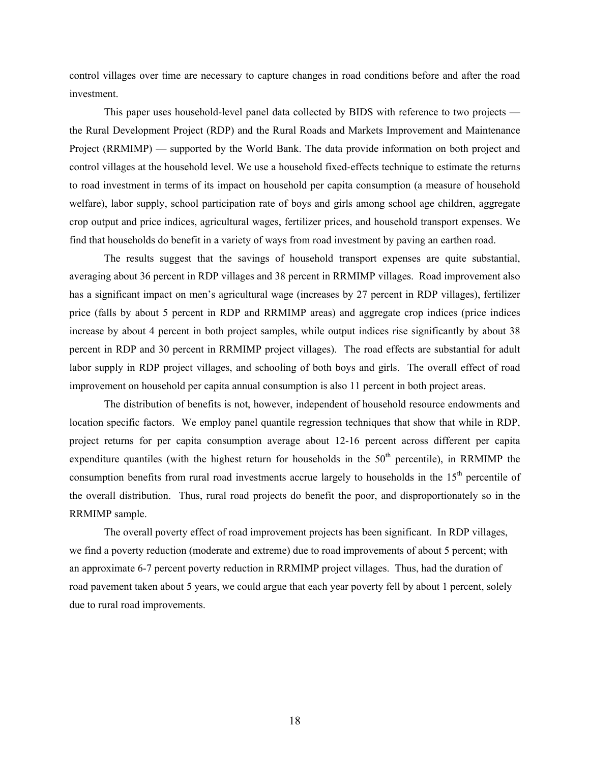control villages over time are necessary to capture changes in road conditions before and after the road investment.

 This paper uses household-level panel data collected by BIDS with reference to two projects the Rural Development Project (RDP) and the Rural Roads and Markets Improvement and Maintenance Project (RRMIMP) — supported by the World Bank. The data provide information on both project and control villages at the household level. We use a household fixed-effects technique to estimate the returns to road investment in terms of its impact on household per capita consumption (a measure of household welfare), labor supply, school participation rate of boys and girls among school age children, aggregate crop output and price indices, agricultural wages, fertilizer prices, and household transport expenses. We find that households do benefit in a variety of ways from road investment by paving an earthen road.

 The results suggest that the savings of household transport expenses are quite substantial, averaging about 36 percent in RDP villages and 38 percent in RRMIMP villages. Road improvement also has a significant impact on men's agricultural wage (increases by 27 percent in RDP villages), fertilizer price (falls by about 5 percent in RDP and RRMIMP areas) and aggregate crop indices (price indices increase by about 4 percent in both project samples, while output indices rise significantly by about 38 percent in RDP and 30 percent in RRMIMP project villages). The road effects are substantial for adult labor supply in RDP project villages, and schooling of both boys and girls. The overall effect of road improvement on household per capita annual consumption is also 11 percent in both project areas.

 The distribution of benefits is not, however, independent of household resource endowments and location specific factors. We employ panel quantile regression techniques that show that while in RDP, project returns for per capita consumption average about 12-16 percent across different per capita expenditure quantiles (with the highest return for households in the  $50<sup>th</sup>$  percentile), in RRMIMP the consumption benefits from rural road investments accrue largely to households in the  $15<sup>th</sup>$  percentile of the overall distribution. Thus, rural road projects do benefit the poor, and disproportionately so in the RRMIMP sample.

The overall poverty effect of road improvement projects has been significant. In RDP villages, we find a poverty reduction (moderate and extreme) due to road improvements of about 5 percent; with an approximate 6-7 percent poverty reduction in RRMIMP project villages. Thus, had the duration of road pavement taken about 5 years, we could argue that each year poverty fell by about 1 percent, solely due to rural road improvements.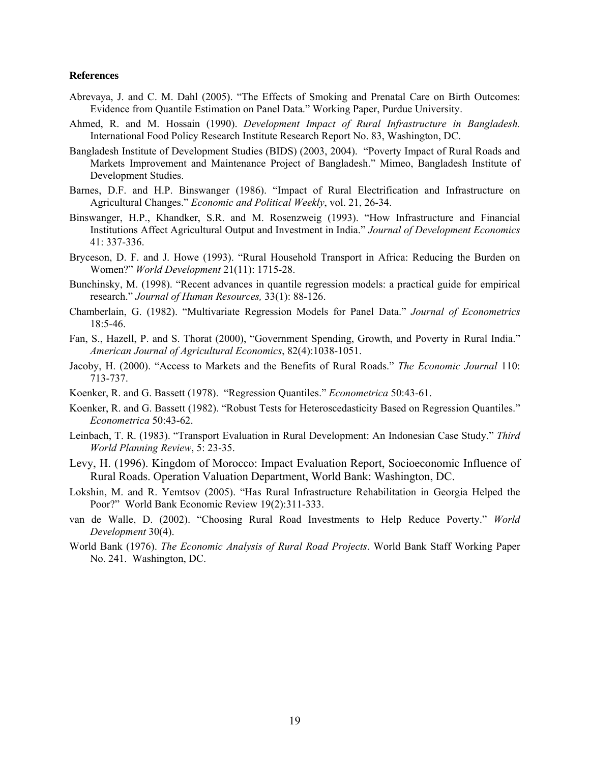#### **References**

- Abrevaya, J. and C. M. Dahl (2005). "The Effects of Smoking and Prenatal Care on Birth Outcomes: Evidence from Quantile Estimation on Panel Data." Working Paper, Purdue University.
- Ahmed, R. and M. Hossain (1990). *Development Impact of Rural Infrastructure in Bangladesh.* International Food Policy Research Institute Research Report No. 83, Washington, DC.
- Bangladesh Institute of Development Studies (BIDS) (2003, 2004). "Poverty Impact of Rural Roads and Markets Improvement and Maintenance Project of Bangladesh." Mimeo, Bangladesh Institute of Development Studies.
- Barnes, D.F. and H.P. Binswanger (1986). "Impact of Rural Electrification and Infrastructure on Agricultural Changes." *Economic and Political Weekly*, vol. 21, 26-34.
- Binswanger, H.P., Khandker, S.R. and M. Rosenzweig (1993). "How Infrastructure and Financial Institutions Affect Agricultural Output and Investment in India." *Journal of Development Economics* 41: 337-336.
- Bryceson, D. F. and J. Howe (1993). "Rural Household Transport in Africa: Reducing the Burden on Women?" *World Development* 21(11): 1715-28.
- Bunchinsky, M. (1998). "Recent advances in quantile regression models: a practical guide for empirical research." *Journal of Human Resources,* 33(1): 88-126.
- Chamberlain, G. (1982). "Multivariate Regression Models for Panel Data." *Journal of Econometrics* 18:5-46.
- Fan, S., Hazell, P. and S. Thorat (2000), "Government Spending, Growth, and Poverty in Rural India." *American Journal of Agricultural Economics*, 82(4):1038-1051.
- Jacoby, H. (2000). "Access to Markets and the Benefits of Rural Roads." *The Economic Journal* 110: 713-737.
- Koenker, R. and G. Bassett (1978). "Regression Quantiles." *Econometrica* 50:43-61.
- Koenker, R. and G. Bassett (1982). "Robust Tests for Heteroscedasticity Based on Regression Quantiles." *Econometrica* 50:43-62.
- Leinbach, T. R. (1983). "Transport Evaluation in Rural Development: An Indonesian Case Study." *Third World Planning Review*, 5: 23-35.
- Levy, H. (1996). Kingdom of Morocco: Impact Evaluation Report, Socioeconomic Influence of Rural Roads. Operation Valuation Department, World Bank: Washington, DC.
- Lokshin, M. and R. Yemtsov (2005). "Has Rural Infrastructure Rehabilitation in Georgia Helped the Poor?" World Bank Economic Review 19(2):311-333.
- van de Walle, D. (2002). "Choosing Rural Road Investments to Help Reduce Poverty." *World Development* 30(4).
- World Bank (1976). *The Economic Analysis of Rural Road Projects*. World Bank Staff Working Paper No. 241. Washington, DC.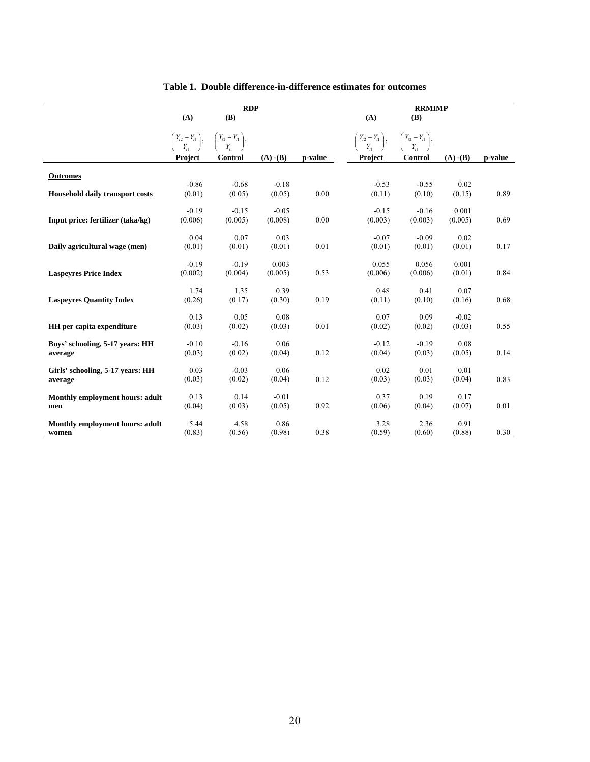| (A)<br><b>(B)</b><br>(A)<br><b>(B)</b>                                                                                                                                                               |                        |         |
|------------------------------------------------------------------------------------------------------------------------------------------------------------------------------------------------------|------------------------|---------|
|                                                                                                                                                                                                      |                        |         |
| $\left(\frac{Y_{i2} - Y_{i1}}{Y_{i1}}\right)$ :<br>$\left(\frac{Y_{i2}-Y_{i1}}{Y_{i1}}\right)$ :<br>$\left(\frac{Y_{i2} - Y_{i1}}{Y_{i1}}\right)$ :<br>$\left(\frac{Y_{i2}-Y_{i1}}{Y_{i1}}\right)$ : |                        |         |
| $(A)$ - $(B)$<br>Control<br>Project<br>Control<br>p-value<br><b>Project</b>                                                                                                                          | $(A)$ - $(B)$          | p-value |
| <b>Outcomes</b>                                                                                                                                                                                      |                        |         |
| $-0.86$<br>$-0.68$<br>$-0.18$<br>$-0.53$<br>$-0.55$                                                                                                                                                  | 0.02                   |         |
| (0.01)<br>(0.05)<br>0.00<br>(0.11)<br>(0.10)<br><b>Household daily transport costs</b><br>(0.05)                                                                                                     | (0.15)                 | 0.89    |
| $-0.19$<br>$-0.15$<br>$-0.05$<br>$-0.15$<br>$-0.16$                                                                                                                                                  | 0.001                  |         |
| (0.003)<br>(0.006)<br>(0.005)<br>(0.008)<br>0.00<br>(0.003)<br>Input price: fertilizer (taka/kg)                                                                                                     | (0.005)                | 0.69    |
|                                                                                                                                                                                                      |                        |         |
| 0.04<br>0.07<br>0.03<br>$-0.07$<br>$-0.09$<br>Daily agricultural wage (men)<br>(0.01)<br>(0.01)<br>(0.01)<br>0.01<br>(0.01)<br>(0.01)                                                                | 0.02<br>(0.01)         | 0.17    |
|                                                                                                                                                                                                      |                        |         |
| $-0.19$<br>$-0.19$<br>0.003<br>0.055<br>0.056                                                                                                                                                        | 0.001                  |         |
| 0.53<br>(0.002)<br>(0.004)<br>(0.005)<br>(0.006)<br>(0.006)<br><b>Laspeyres Price Index</b>                                                                                                          | (0.01)                 | 0.84    |
| 1.74<br>1.35<br>0.39<br>0.48                                                                                                                                                                         | 0.41<br>0.07           |         |
| <b>Laspeyres Quantity Index</b><br>(0.26)<br>(0.17)<br>0.19<br>(0.11)<br>(0.10)<br>(0.30)                                                                                                            | (0.16)                 | 0.68    |
|                                                                                                                                                                                                      |                        |         |
| 0.13<br>0.05<br>0.08<br>0.07                                                                                                                                                                         | 0.09<br>$-0.02$        |         |
| (0.03)<br>(0.02)<br>(0.03)<br>0.01<br>(0.02)<br>HH per capita expenditure<br>(0.02)                                                                                                                  | (0.03)                 | 0.55    |
| $-0.12$<br>$-0.19$<br>Boys' schooling, 5-17 years: HH<br>$-0.10$<br>$-0.16$<br>0.06                                                                                                                  | 0.08                   |         |
| (0.03)<br>0.12<br>(0.04)<br>(0.02)<br>(0.04)<br>(0.03)<br>average                                                                                                                                    | (0.05)                 | 0.14    |
| 0.03<br>0.02                                                                                                                                                                                         |                        |         |
| $-0.03$<br>0.06<br>Girls' schooling, 5-17 years: HH<br>(0.03)<br>(0.02)<br>0.12<br>(0.03)<br>(0.03)<br>(0.04)                                                                                        | 0.01<br>0.01<br>(0.04) | 0.83    |
| average                                                                                                                                                                                              |                        |         |
| 0.13<br>0.14<br>0.37<br>Monthly employment hours: adult<br>$-0.01$                                                                                                                                   | 0.19<br>0.17           |         |
| (0.03)<br>0.92<br>(0.04)<br>(0.05)<br>(0.06)<br>(0.04)<br>men                                                                                                                                        | (0.07)                 | 0.01    |
| 5.44<br>4.58<br>0.86<br>3.28<br>Monthly employment hours: adult                                                                                                                                      | 2.36<br>0.91           |         |
| (0.83)<br>(0.56)<br>(0.98)<br>0.38<br>(0.59)<br>(0.60)<br>women                                                                                                                                      | (0.88)                 | 0.30    |

**Table 1. Double difference-in-difference estimates for outcomes**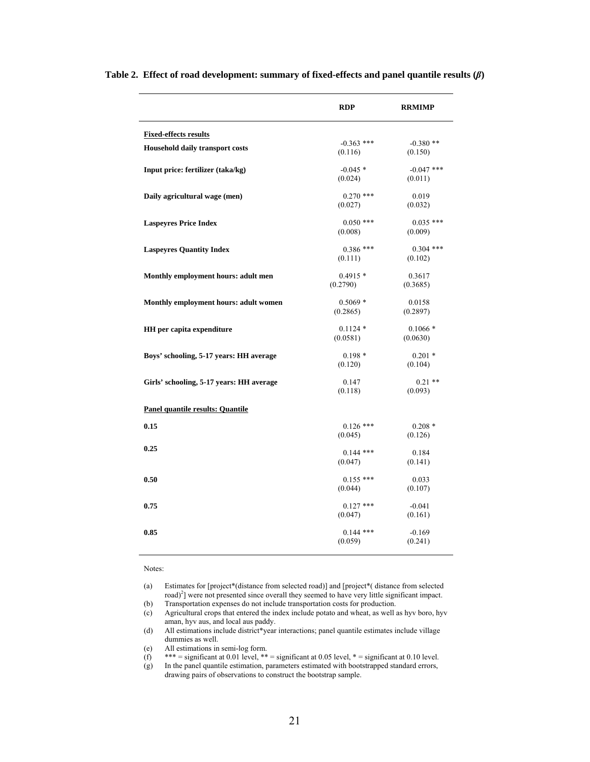|                                          | <b>RDP</b>            | <b>RRMIMP</b> |
|------------------------------------------|-----------------------|---------------|
| <b>Fixed-effects results</b>             |                       |               |
| Household daily transport costs          | $-0.363$ ***          | $-0.380**$    |
|                                          | (0.116)               | (0.150)       |
| Input price: fertilizer (taka/kg)        | $-0.045*$             | $-0.047$ ***  |
|                                          | (0.024)               | (0.011)       |
|                                          |                       |               |
| Daily agricultural wage (men)            | $0.270$ ***           | 0.019         |
|                                          | (0.027)               | (0.032)       |
| <b>Laspeyres Price Index</b>             | $0.050$ ***           | $0.035$ ***   |
|                                          | (0.008)               | (0.009)       |
|                                          |                       |               |
| <b>Laspeyres Quantity Index</b>          | $0.386$ ***           | $0.304$ ***   |
|                                          | (0.111)               | (0.102)       |
| Monthly employment hours: adult men      | $0.4915*$             | 0.3617        |
|                                          | (0.2790)              | (0.3685)      |
|                                          |                       |               |
| Monthly employment hours: adult women    | $0.5069*$<br>(0.2865) | 0.0158        |
|                                          |                       | (0.2897)      |
| <b>HH</b> per capita expenditure         | $0.1124*$             | $0.1066*$     |
|                                          | (0.0581)              | (0.0630)      |
|                                          | $0.198*$              | $0.201*$      |
| Boys' schooling, 5-17 years: HH average  | (0.120)               | (0.104)       |
|                                          |                       |               |
| Girls' schooling, 5-17 years: HH average | 0.147                 | $0.21$ **     |
|                                          | (0.118)               | (0.093)       |
| <b>Panel quantile results: Quantile</b>  |                       |               |
|                                          |                       |               |
| 0.15                                     | $0.126$ ***           | $0.208*$      |
|                                          | (0.045)               | (0.126)       |
| 0.25                                     | $0.144$ ***           | 0.184         |
|                                          | (0.047)               | (0.141)       |
|                                          |                       |               |
| 0.50                                     | $0.155$ ***           | 0.033         |
|                                          | (0.044)               | (0.107)       |
| 0.75                                     | $0.127$ ***           | $-0.041$      |
|                                          | (0.047)               | (0.161)       |
|                                          |                       |               |
| 0.85                                     | $0.144$ ***           | $-0.169$      |
|                                          | (0.059)               | (0.241)       |

**Table 2. Effect of road development: summary of fixed-effects and panel quantile results (***β***)** 

#### Notes:

(a) Estimates for [project\*(distance from selected road)] and [project\*( distance from selected road)<sup>2</sup>] were not presented since overall they seemed to have very little significant impact.

(b) Transportation expenses do not include transportation costs for production.

(c) Agricultural crops that entered the index include potato and wheat, as well as hyv boro, hyv aman, hyv aus, and local aus paddy.

(d) All estimations include district\*year interactions; panel quantile estimates include village dummies as well.

(e) All estimations in semi-log form.

(f)  $*** =$  significant at 0.01 level,  $** =$  significant at 0.05 level,  $* =$  significant at 0.10 level.

(g) In the panel quantile estimation, parameters estimated with bootstrapped standard errors, drawing pairs of observations to construct the bootstrap sample.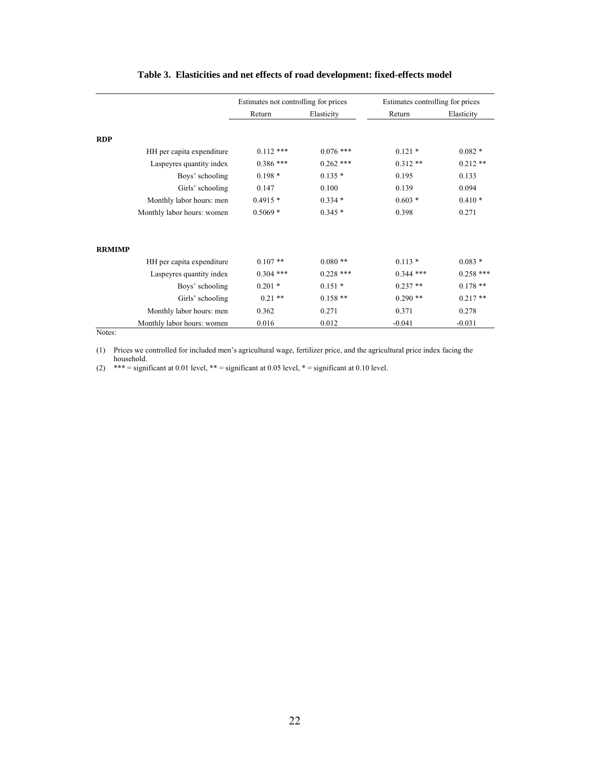|               |                            | Estimates not controlling for prices |             | Estimates controlling for prices |             |
|---------------|----------------------------|--------------------------------------|-------------|----------------------------------|-------------|
|               |                            | Return                               | Elasticity  | Return                           | Elasticity  |
|               |                            |                                      |             |                                  |             |
| <b>RDP</b>    |                            |                                      |             |                                  |             |
|               | HH per capita expenditure  | $0.112$ ***                          | $0.076$ *** | $0.121*$                         | $0.082*$    |
|               | Laspeyres quantity index   | $0.386$ ***                          | $0.262$ *** | $0.312**$                        | $0.212**$   |
|               | Boys' schooling            | $0.198*$                             | $0.135*$    | 0.195                            | 0.133       |
|               | Girls' schooling           | 0.147                                | 0.100       | 0.139                            | 0.094       |
|               | Monthly labor hours: men   | $0.4915*$                            | $0.334*$    | $0.603*$                         | $0.410*$    |
|               | Monthly labor hours: women | $0.5069*$                            | $0.345*$    | 0.398                            | 0.271       |
| <b>RRMIMP</b> |                            |                                      |             |                                  |             |
|               | HH per capita expenditure  | $0.107**$                            | $0.080**$   | $0.113*$                         | $0.083*$    |
|               | Laspeyres quantity index   | $0.304$ ***                          | $0.228$ *** | $0.344$ ***                      | $0.258$ *** |
|               | Boys' schooling            | $0.201*$                             | $0.151*$    | $0.237**$                        | $0.178**$   |
|               | Girls' schooling           | $0.21$ **                            | $0.158**$   | $0.290**$                        | $0.217**$   |
|               | Monthly labor hours: men   | 0.362                                | 0.271       | 0.371                            | 0.278       |
|               | Monthly labor hours: women | 0.016                                | 0.012       | $-0.041$                         | $-0.031$    |

## **Table 3. Elasticities and net effects of road development: fixed-effects model**

Notes:

(1) Prices we controlled for included men's agricultural wage, fertilizer price, and the agricultural price index facing the household.

 $(2)$  \*\*\* = significant at 0.01 level, \*\* = significant at 0.05 level, \* = significant at 0.10 level.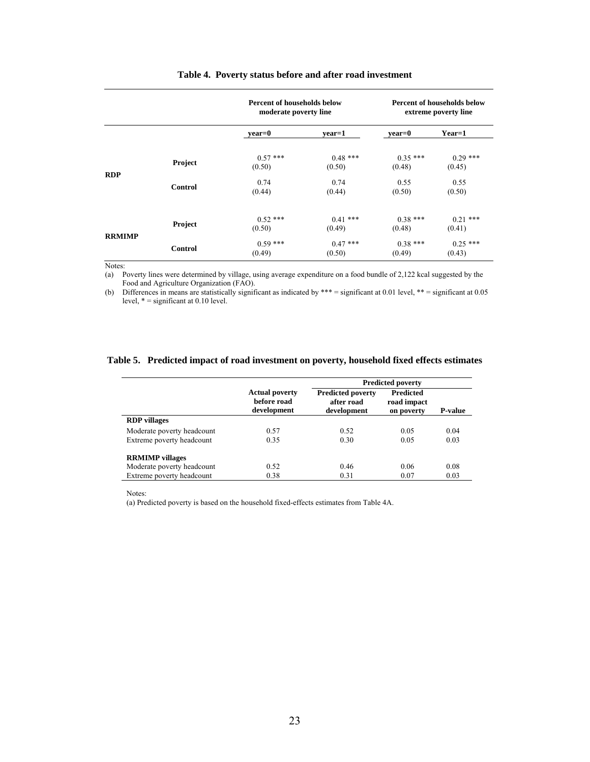|               |                | <b>Percent of households below</b><br>moderate poverty line |                      | <b>Percent of households below</b><br>extreme poverty line |                      |  |  |
|---------------|----------------|-------------------------------------------------------------|----------------------|------------------------------------------------------------|----------------------|--|--|
|               |                | vear=0                                                      | vear=1               | vear=0                                                     | $Year=1$             |  |  |
|               | Project        | $0.57$ ***<br>(0.50)                                        | $0.48$ ***<br>(0.50) | $0.35***$<br>(0.48)                                        | $0.29$ ***<br>(0.45) |  |  |
| <b>RDP</b>    | <b>Control</b> | 0.74<br>(0.44)                                              | 0.74<br>(0.44)       | 0.55<br>(0.50)                                             | 0.55<br>(0.50)       |  |  |
| <b>RRMIMP</b> | Project        | $0.52$ ***<br>(0.50)                                        | $0.41$ ***<br>(0.49) | $0.38***$<br>(0.48)                                        | $0.21$ ***<br>(0.41) |  |  |
|               | <b>Control</b> | $0.59$ ***<br>(0.49)                                        | $0.47***$<br>(0.50)  | $0.38***$<br>(0.49)                                        | $0.25$ ***<br>(0.43) |  |  |

#### **Table 4. Poverty status before and after road investment**

Notes:

(a) Poverty lines were determined by village, using average expenditure on a food bundle of 2,122 kcal suggested by the Food and Agriculture Organization (FAO).

(b) Differences in means are statistically significant as indicated by \*\*\* = significant at 0.01 level, \*\* = significant at 0.05 level,  $* =$  significant at 0.10 level.

#### **Table 5. Predicted impact of road investment on poverty, household fixed effects estimates**

|                            |                                                     | <b>Predicted poverty</b>                              |                                               |                |
|----------------------------|-----------------------------------------------------|-------------------------------------------------------|-----------------------------------------------|----------------|
|                            | <b>Actual poverty</b><br>before road<br>development | <b>Predicted poverty</b><br>after road<br>development | <b>Predicted</b><br>road impact<br>on poverty | <b>P-value</b> |
| <b>RDP</b> villages        |                                                     |                                                       |                                               |                |
| Moderate poverty headcount | 0.57                                                | 0.52                                                  | 0.05                                          | 0.04           |
| Extreme poverty headcount  | 0.35                                                | 0.30                                                  | 0.05                                          | 0.03           |
| <b>RRMIMP</b> villages     |                                                     |                                                       |                                               |                |
| Moderate poverty headcount | 0.52                                                | 0.46                                                  | 0.06                                          | 0.08           |
| Extreme poverty headcount  | 0.38                                                | 0.31                                                  | 0.07                                          | 0.03           |

Notes:

(a) Predicted poverty is based on the household fixed-effects estimates from Table 4A.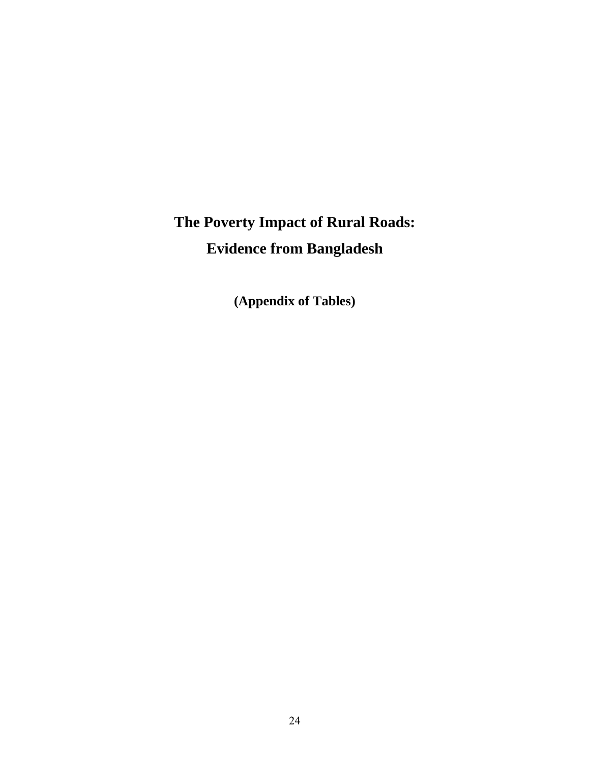# **The Poverty Impact of Rural Roads: Evidence from Bangladesh**

**(Appendix of Tables)**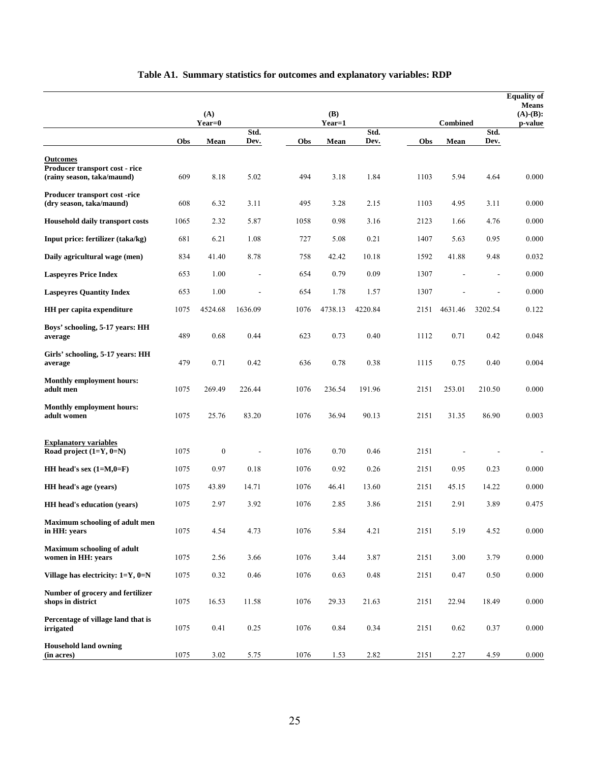|                                                          |      | (A)              |         |      | <b>(B)</b> |         |      |                 |         | <b>Equality of</b><br><b>Means</b><br>$(A)-(B)$ : |
|----------------------------------------------------------|------|------------------|---------|------|------------|---------|------|-----------------|---------|---------------------------------------------------|
|                                                          |      | $Year=0$         | Std.    |      | Year=1     | Std.    |      | <b>Combined</b> | Std.    | p-value                                           |
|                                                          | Obs  | Mean             | Dev.    | Obs  | Mean       | Dev.    | Obs  | Mean            | Dev.    |                                                   |
| <b>Outcomes</b><br>Producer transport cost - rice        |      |                  |         |      |            |         |      |                 |         |                                                   |
| (rainy season, taka/maund)                               | 609  | 8.18             | 5.02    | 494  | 3.18       | 1.84    | 1103 | 5.94            | 4.64    | 0.000                                             |
| Producer transport cost-rice<br>(dry season, taka/maund) | 608  | 6.32             | 3.11    | 495  | 3.28       | 2.15    | 1103 | 4.95            | 3.11    | 0.000                                             |
| <b>Household daily transport costs</b>                   | 1065 | 2.32             | 5.87    | 1058 | 0.98       | 3.16    | 2123 | 1.66            | 4.76    | 0.000                                             |
| Input price: fertilizer (taka/kg)                        | 681  | 6.21             | 1.08    | 727  | 5.08       | 0.21    | 1407 | 5.63            | 0.95    | 0.000                                             |
| Daily agricultural wage (men)                            | 834  | 41.40            | 8.78    | 758  | 42.42      | 10.18   | 1592 | 41.88           | 9.48    | 0.032                                             |
| <b>Laspeyres Price Index</b>                             | 653  | 1.00             |         | 654  | 0.79       | 0.09    | 1307 |                 |         | 0.000                                             |
| <b>Laspeyres Quantity Index</b>                          | 653  | 1.00             |         | 654  | 1.78       | 1.57    | 1307 |                 |         | 0.000                                             |
| <b>HH</b> per capita expenditure                         | 1075 | 4524.68          | 1636.09 | 1076 | 4738.13    | 4220.84 | 2151 | 4631.46         | 3202.54 | 0.122                                             |
| Boys' schooling, 5-17 years: HH<br>average               | 489  | 0.68             | 0.44    | 623  | 0.73       | 0.40    | 1112 | 0.71            | 0.42    | 0.048                                             |
| Girls' schooling, 5-17 years: HH<br>average              | 479  | 0.71             | 0.42    | 636  | 0.78       | 0.38    | 1115 | 0.75            | 0.40    | 0.004                                             |
| <b>Monthly employment hours:</b><br>adult men            | 1075 | 269.49           | 226.44  | 1076 | 236.54     | 191.96  | 2151 | 253.01          | 210.50  | 0.000                                             |
| <b>Monthly employment hours:</b><br>adult women          | 1075 | 25.76            | 83.20   | 1076 | 36.94      | 90.13   | 2151 | 31.35           | 86.90   | 0.003                                             |
| Explanatory variables<br>Road project $(1=Y, 0=N)$       | 1075 | $\boldsymbol{0}$ |         | 1076 | 0.70       | 0.46    | 2151 |                 |         |                                                   |
| HH head's sex $(1=M,0=F)$                                | 1075 | 0.97             | 0.18    | 1076 | 0.92       | 0.26    | 2151 | 0.95            | 0.23    | 0.000                                             |
| HH head's age (years)                                    | 1075 | 43.89            | 14.71   | 1076 | 46.41      | 13.60   | 2151 | 45.15           | 14.22   | 0.000                                             |
| <b>HH</b> head's education (years)                       | 1075 | 2.97             | 3.92    | 1076 | 2.85       | 3.86    | 2151 | 2.91            | 3.89    | 0.475                                             |
| Maximum schooling of adult men<br>in HH: years           | 1075 | 4.54             | 4.73    | 1076 | 5.84       | 4.21    | 2151 | 5.19            | 4.52    | 0.000                                             |
| <b>Maximum schooling of adult</b><br>women in HH: years  | 1075 | 2.56             | 3.66    | 1076 | 3.44       | 3.87    | 2151 | 3.00            | 3.79    | 0.000                                             |
| Village has electricity: $1=Y$ , $0=N$                   | 1075 | 0.32             | 0.46    | 1076 | 0.63       | 0.48    | 2151 | 0.47            | 0.50    | 0.000                                             |
| Number of grocery and fertilizer<br>shops in district    | 1075 | 16.53            | 11.58   | 1076 | 29.33      | 21.63   | 2151 | 22.94           | 18.49   | 0.000                                             |
| Percentage of village land that is<br>irrigated          | 1075 | 0.41             | 0.25    | 1076 | 0.84       | 0.34    | 2151 | 0.62            | 0.37    | 0.000                                             |
| <b>Household land owning</b><br>(in acres)               | 1075 | 3.02             | 5.75    | 1076 | 1.53       | 2.82    | 2151 | 2.27            | 4.59    | $0.000\,$                                         |

# **Table A1. Summary statistics for outcomes and explanatory variables: RDP**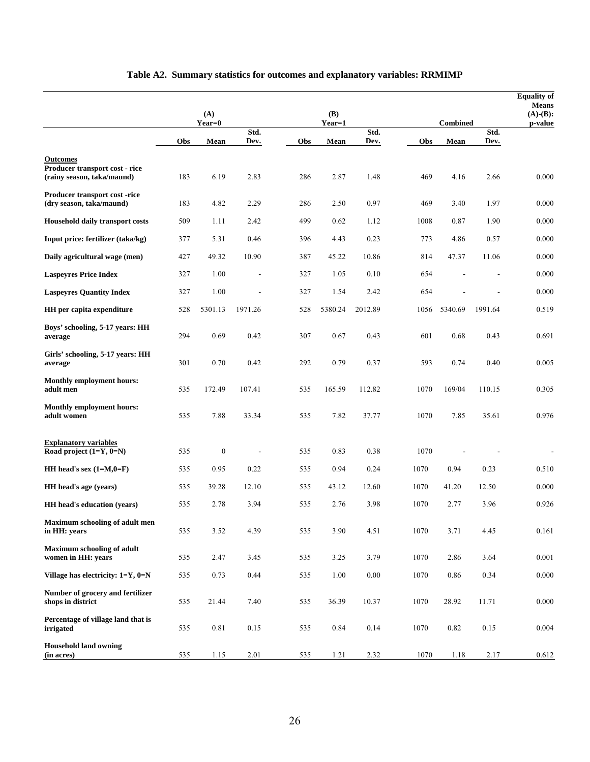|                                                              |     | (A)              |         |     | (B)     |          |      |                 |         | <b>Equality of</b><br><b>Means</b><br>$(A)-(B)$ : |
|--------------------------------------------------------------|-----|------------------|---------|-----|---------|----------|------|-----------------|---------|---------------------------------------------------|
|                                                              |     | Year=0           | Std.    |     | Year=1  | Std.     |      | <b>Combined</b> | Std.    | p-value                                           |
|                                                              | Obs | Mean             | Dev.    | Obs | Mean    | Dev.     | Obs  | Mean            | Dev.    |                                                   |
| <b>Outcomes</b>                                              |     |                  |         |     |         |          |      |                 |         |                                                   |
| Producer transport cost - rice<br>(rainy season, taka/maund) | 183 | 6.19             | 2.83    | 286 | 2.87    | 1.48     | 469  | 4.16            | 2.66    | 0.000                                             |
| Producer transport cost -rice<br>(dry season, taka/maund)    | 183 | 4.82             | 2.29    | 286 | 2.50    | 0.97     | 469  | 3.40            | 1.97    | 0.000                                             |
| <b>Household daily transport costs</b>                       | 509 | 1.11             | 2.42    | 499 | 0.62    | 1.12     | 1008 | 0.87            | 1.90    | 0.000                                             |
| Input price: fertilizer (taka/kg)                            | 377 | 5.31             | 0.46    | 396 | 4.43    | 0.23     | 773  | 4.86            | 0.57    | 0.000                                             |
| Daily agricultural wage (men)                                | 427 | 49.32            | 10.90   | 387 | 45.22   | 10.86    | 814  | 47.37           | 11.06   | 0.000                                             |
| <b>Laspeyres Price Index</b>                                 | 327 | 1.00             |         | 327 | 1.05    | 0.10     | 654  |                 |         | 0.000                                             |
| <b>Laspeyres Quantity Index</b>                              | 327 | 1.00             |         | 327 | 1.54    | 2.42     | 654  |                 |         | 0.000                                             |
| HH per capita expenditure                                    | 528 | 5301.13          | 1971.26 | 528 | 5380.24 | 2012.89  | 1056 | 5340.69         | 1991.64 | 0.519                                             |
| Boys' schooling, 5-17 years: HH<br>average                   | 294 | 0.69             | 0.42    | 307 | 0.67    | 0.43     | 601  | 0.68            | 0.43    | 0.691                                             |
| Girls' schooling, 5-17 years: HH<br>average                  | 301 | 0.70             | 0.42    | 292 | 0.79    | 0.37     | 593  | 0.74            | 0.40    | 0.005                                             |
| <b>Monthly employment hours:</b><br>adult men                | 535 | 172.49           | 107.41  | 535 | 165.59  | 112.82   | 1070 | 169/04          | 110.15  | 0.305                                             |
| <b>Monthly employment hours:</b><br>adult women              | 535 | 7.88             | 33.34   | 535 | 7.82    | 37.77    | 1070 | 7.85            | 35.61   | 0.976                                             |
| <b>Explanatory variables</b><br>Road project $(1=Y, 0=N)$    | 535 | $\boldsymbol{0}$ |         | 535 | 0.83    | 0.38     | 1070 |                 |         |                                                   |
| HH head's sex $(1=M,0=F)$                                    | 535 | 0.95             | 0.22    | 535 | 0.94    | 0.24     | 1070 | 0.94            | 0.23    | 0.510                                             |
| HH head's age (years)                                        | 535 | 39.28            | 12.10   | 535 | 43.12   | 12.60    | 1070 | 41.20           | 12.50   | 0.000                                             |
| <b>HH</b> head's education (years)                           | 535 | 2.78             | 3.94    | 535 | 2.76    | 3.98     | 1070 | 2.77            | 3.96    | 0.926                                             |
| Maximum schooling of adult men<br>in HH: years               | 535 | 3.52             | 4.39    | 535 | 3.90    | 4.51     | 1070 | 3.71            | 4.45    | 0.161                                             |
| <b>Maximum schooling of adult</b><br>women in HH: years      | 535 | 2.47             | 3.45    | 535 | 3.25    | 3.79     | 1070 | 2.86            | 3.64    | 0.001                                             |
| Village has electricity: 1=Y, 0=N                            | 535 | 0.73             | 0.44    | 535 | 1.00    | $0.00\,$ | 1070 | 0.86            | 0.34    | 0.000                                             |
| Number of grocery and fertilizer<br>shops in district        | 535 | 21.44            | 7.40    | 535 | 36.39   | 10.37    | 1070 | 28.92           | 11.71   | 0.000                                             |
| Percentage of village land that is<br>irrigated              | 535 | 0.81             | 0.15    | 535 | 0.84    | 0.14     | 1070 | 0.82            | 0.15    | 0.004                                             |
| <b>Household land owning</b><br>(in acres)                   | 535 | 1.15             | 2.01    | 535 | 1.21    | 2.32     | 1070 | 1.18            | 2.17    | 0.612                                             |

# **Table A2. Summary statistics for outcomes and explanatory variables: RRMIMP**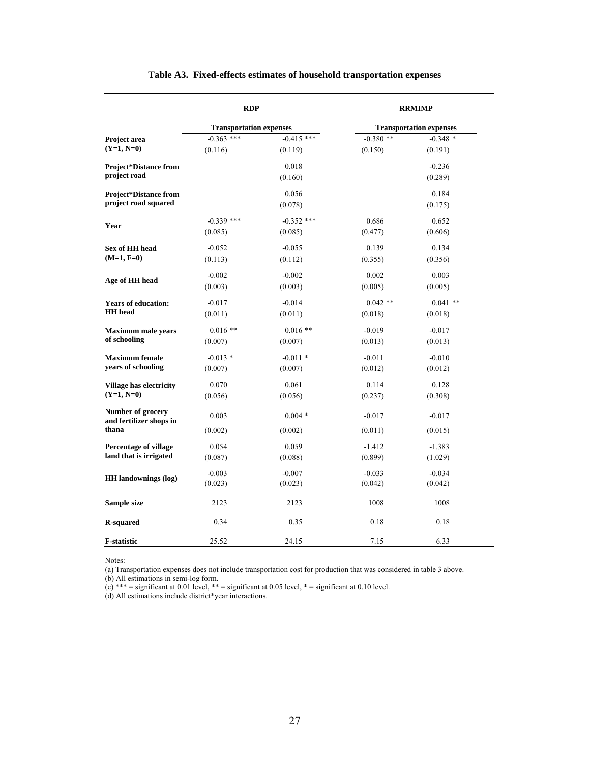|                                              | <b>RDP</b>                     |              |            | <b>RRMIMP</b>                  |  |
|----------------------------------------------|--------------------------------|--------------|------------|--------------------------------|--|
|                                              | <b>Transportation expenses</b> |              |            | <b>Transportation expenses</b> |  |
| Project area                                 | $-0.363$ ***                   | $-0.415$ *** | $-0.380**$ | $-0.348*$                      |  |
| $(Y=1, N=0)$                                 | (0.116)                        | (0.119)      | (0.150)    | (0.191)                        |  |
| <b>Project*Distance from</b>                 |                                | 0.018        |            | $-0.236$                       |  |
| project road                                 |                                | (0.160)      |            | (0.289)                        |  |
| <b>Project*Distance from</b>                 |                                | 0.056        |            | 0.184                          |  |
| project road squared                         |                                | (0.078)      |            | (0.175)                        |  |
| Year                                         | $-0.339$ ***                   | $-0.352$ *** | 0.686      | 0.652                          |  |
|                                              | (0.085)                        | (0.085)      | (0.477)    | (0.606)                        |  |
| Sex of HH head                               | $-0.052$                       | $-0.055$     | 0.139      | 0.134                          |  |
| $(M=1, F=0)$                                 | (0.113)                        | (0.112)      | (0.355)    | (0.356)                        |  |
| Age of HH head                               | $-0.002$                       | $-0.002$     | 0.002      | 0.003                          |  |
|                                              | (0.003)                        | (0.003)      | (0.005)    | (0.005)                        |  |
| <b>Years of education:</b>                   | $-0.017$                       | $-0.014$     | $0.042**$  | $0.041$ **                     |  |
| <b>HH</b> head                               | (0.011)                        | (0.011)      | (0.018)    | (0.018)                        |  |
| <b>Maximum male years</b>                    | $0.016**$                      | $0.016**$    | $-0.019$   | $-0.017$                       |  |
| of schooling                                 | (0.007)                        | (0.007)      | (0.013)    | (0.013)                        |  |
| <b>Maximum</b> female                        | $-0.013$ *                     | $-0.011*$    | $-0.011$   | $-0.010$                       |  |
| years of schooling                           | (0.007)                        | (0.007)      | (0.012)    | (0.012)                        |  |
| <b>Village has electricity</b>               | 0.070                          | 0.061        | 0.114      | 0.128                          |  |
| $(Y=1, N=0)$                                 | (0.056)                        | (0.056)      | (0.237)    | (0.308)                        |  |
| Number of grocery<br>and fertilizer shops in | 0.003                          | $0.004*$     | $-0.017$   | $-0.017$                       |  |
| thana                                        | (0.002)                        | (0.002)      | (0.011)    | (0.015)                        |  |
| <b>Percentage of village</b>                 | 0.054                          | 0.059        | $-1.412$   | $-1.383$                       |  |
| land that is irrigated                       | (0.087)                        | (0.088)      | (0.899)    | (1.029)                        |  |
| <b>HH</b> landownings (log)                  | $-0.003$                       | $-0.007$     | $-0.033$   | $-0.034$                       |  |
|                                              | (0.023)                        | (0.023)      | (0.042)    | (0.042)                        |  |
| Sample size                                  | 2123                           | 2123         | 1008       | 1008                           |  |
| <b>R-squared</b>                             | 0.34                           | 0.35         | 0.18       | 0.18                           |  |
| <b>F-statistic</b>                           | 25.52                          | 24.15        | 7.15       | 6.33                           |  |

#### **Table A3. Fixed-effects estimates of household transportation expenses**

Notes:

(a) Transportation expenses does not include transportation cost for production that was considered in table 3 above.

(b) All estimations in semi-log form.

(c) \*\*\* = significant at 0.01 level, \*\* = significant at 0.05 level, \* = significant at 0.10 level.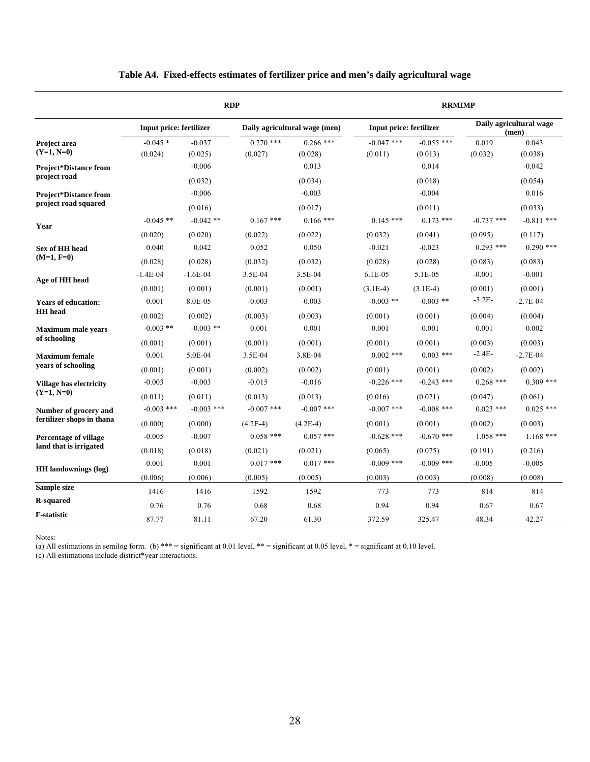|                                                      | <b>RDP</b>                     |                     |                        |                               |                                | <b>RRMIMP</b>           |                                  |                     |  |  |
|------------------------------------------------------|--------------------------------|---------------------|------------------------|-------------------------------|--------------------------------|-------------------------|----------------------------------|---------------------|--|--|
|                                                      | <b>Input price: fertilizer</b> |                     |                        | Daily agricultural wage (men) | <b>Input price: fertilizer</b> |                         | Daily agricultural wage<br>(men) |                     |  |  |
| Project area<br>$(Y=1, N=0)$                         | $-0.045*$<br>(0.024)           | $-0.037$<br>(0.025) | $0.270$ ***<br>(0.027) | $0.266$ ***<br>(0.028)        | $-0.047$ ***<br>(0.011)        | $-0.055$ ***<br>(0.013) | 0.019<br>(0.032)                 | 0.043<br>(0.038)    |  |  |
| <b>Project*Distance from</b><br>project road         |                                | $-0.006$<br>(0.032) |                        | 0.013<br>(0.034)              |                                | 0.014<br>(0.018)        |                                  | $-0.042$<br>(0.054) |  |  |
| <b>Project*Distance from</b><br>project road squared |                                | $-0.006$<br>(0.016) |                        | $-0.003$<br>(0.017)           |                                | $-0.004$<br>(0.011)     |                                  | 0.016<br>(0.033)    |  |  |
| Year                                                 | $-0.045$ **                    | $-0.042$ **         | $0.167$ ***            | $0.166$ ***                   | $0.145$ ***                    | $0.173$ ***             | $-0.737$ ***                     | $-0.811$ ***        |  |  |
|                                                      | (0.020)                        | (0.020)             | (0.022)                | (0.022)                       | (0.032)                        | (0.041)                 | (0.095)                          | (0.117)             |  |  |
| <b>Sex of HH head</b>                                | 0.040                          | 0.042               | 0.052                  | 0.050                         | $-0.021$                       | $-0.023$                | $0.293$ ***                      | $0.290$ ***         |  |  |
| $(M=1, F=0)$                                         | (0.028)                        | (0.028)             | (0.032)                | (0.032)                       | (0.028)                        | (0.028)                 | (0.083)                          | (0.083)             |  |  |
| Age of HH head                                       | $-1.4E-04$                     | $-1.6E-04$          | 3.5E-04                | 3.5E-04                       | $6.1E-05$                      | 5.1E-05                 | $-0.001$                         | $-0.001$            |  |  |
|                                                      | (0.001)                        | (0.001)             | (0.001)                | (0.001)                       | $(3.1E-4)$                     | $(3.1E-4)$              | (0.001)                          | (0.001)             |  |  |
| <b>Years of education:</b>                           | 0.001                          | 8.0E-05             | $-0.003$               | $-0.003$                      | $-0.003$ **                    | $-0.003$ **             | $-3.2E-$                         | $-2.7E-04$          |  |  |
| <b>HH</b> head                                       | (0.002)                        | (0.002)             | (0.003)                | (0.003)                       | (0.001)                        | (0.001)                 | (0.004)                          | (0.004)             |  |  |
| <b>Maximum male years</b>                            | $-0.003$ **                    | $-0.003$ **         | 0.001                  | 0.001                         | 0.001                          | 0.001                   | 0.001                            | 0.002               |  |  |
| of schooling                                         | (0.001)                        | (0.001)             | (0.001)                | (0.001)                       | (0.001)                        | (0.001)                 | (0.003)                          | (0.003)             |  |  |
| <b>Maximum</b> female                                | 0.001                          | 5.0E-04             | 3.5E-04                | 3.8E-04                       | $0.002$ ***                    | $0.003$ ***             | $-2.4E-$                         | $-2.7E-04$          |  |  |
| years of schooling                                   | (0.001)                        | (0.001)             | (0.002)                | (0.002)                       | (0.001)                        | (0.001)                 | (0.002)                          | (0.002)             |  |  |
| <b>Village has electricity</b>                       | $-0.003$                       | $-0.003$            | $-0.015$               | $-0.016$                      | $-0.226$ ***                   | $-0.243$ ***            | $0.268$ ***                      | $0.309$ ***         |  |  |
| $(Y=1, N=0)$                                         | (0.011)                        | (0.011)             | (0.013)                | (0.013)                       | (0.016)                        | (0.021)                 | (0.047)                          | (0.061)             |  |  |
| Number of grocery and                                | $-0.003$ ***                   | $-0.003$ ***        | $-0.007$ ***           | $-0.007$ ***                  | $-0.007$ ***                   | $-0.008$ ***            | $0.023$ ***                      | $0.025$ ***         |  |  |
| fertilizer shops in thana                            | (0.000)                        | (0.000)             | $(4.2E-4)$             | $(4.2E-4)$                    | (0.001)                        | (0.001)                 | (0.002)                          | (0.003)             |  |  |
| Percentage of village                                | $-0.005$                       | $-0.007$            | $0.058$ ***            | $0.057$ ***                   | $-0.628$ ***                   | $-0.670$ ***            | $1.058$ ***                      | $1.168$ ***         |  |  |
| land that is irrigated                               | (0.018)                        | (0.018)             | (0.021)                | (0.021)                       | (0.065)                        | (0.075)                 | (0.191)                          | (0.216)             |  |  |
| <b>HH</b> landownings (log)                          | 0.001                          | 0.001               | $0.017$ ***            | $0.017$ ***                   | $-0.009$ ***                   | $-0.009$ ***            | $-0.005$                         | $-0.005$            |  |  |
|                                                      | (0.006)                        | (0.006)             | (0.005)                | (0.005)                       | (0.003)                        | (0.003)                 | (0.008)                          | (0.008)             |  |  |
| Sample size                                          | 1416                           | 1416                | 1592                   | 1592                          | 773                            | 773                     | 814                              | 814                 |  |  |
| <b>R-squared</b>                                     | 0.76                           | 0.76                | 0.68                   | 0.68                          | 0.94                           | 0.94                    | 0.67                             | 0.67                |  |  |
| <b>F-statistic</b>                                   | 87.77                          | 81.11               | 67.20                  | 61.30                         | 372.59                         | 325.47                  | 48.34                            | 42.27               |  |  |

#### **Table A4. Fixed-effects estimates of fertilizer price and men's daily agricultural wage**

Notes:

(a) All estimations in semilog form. (b) \*\*\* = significant at 0.01 level, \*\* = significant at 0.05 level, \* = significant at 0.10 level.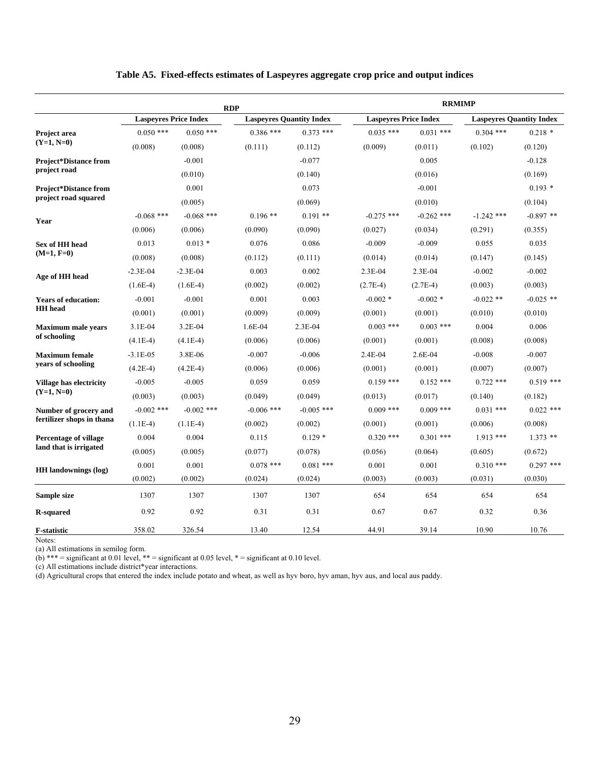|                                | <b>RDP</b>                   |              | <b>RRMIMP</b>                   |              |                              |              |                                 |             |
|--------------------------------|------------------------------|--------------|---------------------------------|--------------|------------------------------|--------------|---------------------------------|-------------|
|                                | <b>Laspeyres Price Index</b> |              | <b>Laspeyres Quantity Index</b> |              | <b>Laspeyres Price Index</b> |              | <b>Laspeyres Quantity Index</b> |             |
| Project area                   | $0.050$ ***                  | $0.050$ ***  | $0.386$ ***                     | $0.373$ ***  | $0.035$ ***                  | $0.031$ ***  | $0.304$ ***                     | $0.218*$    |
| $(Y=1, N=0)$                   | (0.008)                      | (0.008)      | (0.111)                         | (0.112)      | (0.009)                      | (0.011)      | (0.102)                         | (0.120)     |
| <b>Project*Distance from</b>   |                              | $-0.001$     |                                 | $-0.077$     |                              | 0.005        |                                 | $-0.128$    |
| project road                   |                              | (0.010)      |                                 | (0.140)      |                              | (0.016)      |                                 | (0.169)     |
| <b>Project*Distance from</b>   |                              | 0.001        |                                 | 0.073        |                              | $-0.001$     |                                 | $0.193*$    |
| project road squared           |                              | (0.005)      |                                 | (0.069)      |                              | (0.010)      |                                 | (0.104)     |
| Year                           | $-0.068$ ***                 | $-0.068$ *** | $0.196**$                       | $0.191**$    | $-0.275$ ***                 | $-0.262$ *** | $-1.242$ ***                    | $-0.897$ ** |
|                                | (0.006)                      | (0.006)      | (0.090)                         | (0.090)      | (0.027)                      | (0.034)      | (0.291)                         | (0.355)     |
| Sex of HH head                 | 0.013                        | $0.013*$     | 0.076                           | 0.086        | $-0.009$                     | $-0.009$     | 0.055                           | 0.035       |
| $(M=1, F=0)$                   | (0.008)                      | (0.008)      | (0.112)                         | (0.111)      | (0.014)                      | (0.014)      | (0.147)                         | (0.145)     |
| Age of HH head                 | $-2.3E-04$                   | $-2.3E-04$   | 0.003                           | 0.002        | 2.3E-04                      | 2.3E-04      | $-0.002$                        | $-0.002$    |
|                                | $(1.6E-4)$                   | $(1.6E-4)$   | (0.002)                         | (0.002)      | $(2.7E-4)$                   | $(2.7E-4)$   | (0.003)                         | (0.003)     |
| <b>Years of education:</b>     | $-0.001$                     | $-0.001$     | 0.001                           | 0.003        | $-0.002*$                    | $-0.002*$    | $-0.022$ **                     | $-0.025$ ** |
| <b>HH</b> head                 | (0.001)                      | (0.001)      | (0.009)                         | (0.009)      | (0.001)                      | (0.001)      | (0.010)                         | (0.010)     |
| <b>Maximum male years</b>      | $3.1E-04$                    | $3.2E-04$    | $1.6E-04$                       | $2.3E-04$    | $0.003$ ***                  | $0.003$ ***  | 0.004                           | 0.006       |
| of schooling                   | $(4.1E-4)$                   | $(4.1E-4)$   | (0.006)                         | (0.006)      | (0.001)                      | (0.001)      | (0.008)                         | (0.008)     |
| <b>Maximum</b> female          | $-3.1E-05$                   | 3.8E-06      | $-0.007$                        | $-0.006$     | 2.4E-04                      | 2.6E-04      | $-0.008$                        | $-0.007$    |
| years of schooling             | $(4.2E-4)$                   | $(4.2E-4)$   | (0.006)                         | (0.006)      | (0.001)                      | (0.001)      | (0.007)                         | (0.007)     |
| <b>Village has electricity</b> | $-0.005$                     | $-0.005$     | 0.059                           | 0.059        | $0.159$ ***                  | $0.152$ ***  | $0.722$ ***                     | $0.519$ *** |
| $(Y=1, N=0)$                   | (0.003)                      | (0.003)      | (0.049)                         | (0.049)      | (0.013)                      | (0.017)      | (0.140)                         | (0.182)     |
| Number of grocery and          | $-0.002$ ***                 | $-0.002$ *** | $-0.006$ ***                    | $-0.005$ *** | $0.009$ ***                  | $0.009$ ***  | $0.031$ ***                     | $0.022$ *** |
| fertilizer shops in thana      | $(1.1E-4)$                   | $(1.1E-4)$   | (0.002)                         | (0.002)      | (0.001)                      | (0.001)      | (0.006)                         | (0.008)     |
| <b>Percentage of village</b>   | 0.004                        | 0.004        | 0.115                           | $0.129*$     | $0.320$ ***                  | $0.301$ ***  | $1.913$ ***                     | $1.373$ **  |
| land that is irrigated         | (0.005)                      | (0.005)      | (0.077)                         | (0.078)      | (0.056)                      | (0.064)      | (0.605)                         | (0.672)     |
| <b>HH</b> landownings (log)    | 0.001                        | 0.001        | $0.078$ ***                     | $0.081$ ***  | 0.001                        | 0.001        | $0.310$ ***                     | $0.297$ *** |
|                                | (0.002)                      | (0.002)      | (0.024)                         | (0.024)      | (0.003)                      | (0.003)      | (0.031)                         | (0.030)     |
| Sample size                    | 1307                         | 1307         | 1307                            | 1307         | 654                          | 654          | 654                             | 654         |
| <b>R-squared</b>               | 0.92                         | 0.92         | 0.31                            | 0.31         | 0.67                         | 0.67         | 0.32                            | 0.36        |
| <b>F-statistic</b>             | 358.02                       | 326.54       | 13.40                           | 12.54        | 44.91                        | 39.14        | 10.90                           | 10.76       |

#### **Table A5. Fixed-effects estimates of Laspeyres aggregate crop price and output indices**

Notes:

(a) All estimations in semilog form.

(b) \*\*\* = significant at 0.01 level, \*\* = significant at 0.05 level, \* = significant at 0.10 level.

(c) All estimations include district\*year interactions.

(d) Agricultural crops that entered the index include potato and wheat, as well as hyv boro, hyv aman, hyv aus, and local aus paddy.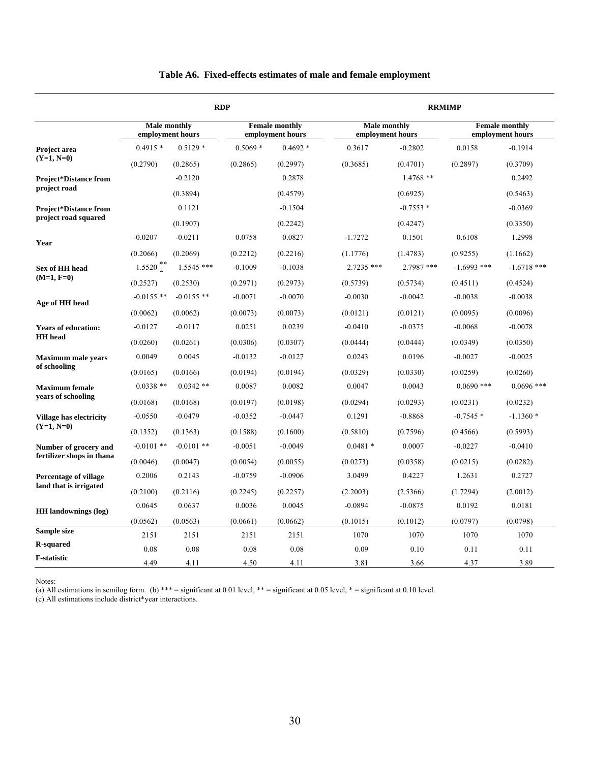|                              |                     |                  | <b>RDP</b> |                                           |                                         | <b>RRMIMP</b> |               |                                           |  |  |
|------------------------------|---------------------|------------------|------------|-------------------------------------------|-----------------------------------------|---------------|---------------|-------------------------------------------|--|--|
|                              | <b>Male monthly</b> | employment hours |            | <b>Female monthly</b><br>employment hours | <b>Male monthly</b><br>employment hours |               |               | <b>Female monthly</b><br>employment hours |  |  |
| Project area                 | $0.4915*$           | $0.5129*$        | $0.5069*$  | $0.4692*$                                 | 0.3617                                  | $-0.2802$     | 0.0158        | $-0.1914$                                 |  |  |
| $(Y=1, N=0)$                 | (0.2790)            | (0.2865)         | (0.2865)   | (0.2997)                                  | (0.3685)                                | (0.4701)      | (0.2897)      | (0.3709)                                  |  |  |
| <b>Project*Distance from</b> |                     | $-0.2120$        |            | 0.2878                                    |                                         | $1.4768**$    |               | 0.2492                                    |  |  |
| project road                 |                     | (0.3894)         |            | (0.4579)                                  |                                         | (0.6925)      |               | (0.5463)                                  |  |  |
| <b>Project*Distance from</b> |                     | 0.1121           |            | $-0.1504$                                 |                                         | $-0.7553*$    |               | $-0.0369$                                 |  |  |
| project road squared         |                     | (0.1907)         |            | (0.2242)                                  |                                         | (0.4247)      |               | (0.3350)                                  |  |  |
|                              | $-0.0207$           | $-0.0211$        | 0.0758     | 0.0827                                    | $-1.7272$                               | 0.1501        | 0.6108        | 1.2998                                    |  |  |
| Year                         | (0.2066)            | (0.2069)         | (0.2212)   | (0.2216)                                  | (1.1776)                                | (1.4783)      | (0.9255)      | (1.1662)                                  |  |  |
| Sex of HH head               | $1.5520$ **         | $1.5545$ ***     | $-0.1009$  | $-0.1038$                                 | 2.7235 ***                              | 2.7987 ***    | $-1.6993$ *** | $-1.6718$ ***                             |  |  |
| $(M=1, F=0)$                 | (0.2527)            | (0.2530)         | (0.2971)   | (0.2973)                                  | (0.5739)                                | (0.5734)      | (0.4511)      | (0.4524)                                  |  |  |
|                              | $-0.0155$ **        | $-0.0155$ **     | $-0.0071$  | $-0.0070$                                 | $-0.0030$                               | $-0.0042$     | $-0.0038$     | $-0.0038$                                 |  |  |
| Age of HH head               | (0.0062)            | (0.0062)         | (0.0073)   | (0.0073)                                  | (0.0121)                                | (0.0121)      | (0.0095)      | (0.0096)                                  |  |  |
| <b>Years of education:</b>   | $-0.0127$           | $-0.0117$        | 0.0251     | 0.0239                                    | $-0.0410$                               | $-0.0375$     | $-0.0068$     | $-0.0078$                                 |  |  |
| <b>HH</b> head               | (0.0260)            | (0.0261)         | (0.0306)   | (0.0307)                                  | (0.0444)                                | (0.0444)      | (0.0349)      | (0.0350)                                  |  |  |
| <b>Maximum male years</b>    | 0.0049              | 0.0045           | $-0.0132$  | $-0.0127$                                 | 0.0243                                  | 0.0196        | $-0.0027$     | $-0.0025$                                 |  |  |
| of schooling                 | (0.0165)            | (0.0166)         | (0.0194)   | (0.0194)                                  | (0.0329)                                | (0.0330)      | (0.0259)      | (0.0260)                                  |  |  |
| <b>Maximum</b> female        | $0.0338**$          | $0.0342**$       | 0.0087     | 0.0082                                    | 0.0047                                  | 0.0043        | $0.0690$ ***  | $0.0696$ ***                              |  |  |
| years of schooling           | (0.0168)            | (0.0168)         | (0.0197)   | (0.0198)                                  | (0.0294)                                | (0.0293)      | (0.0231)      | (0.0232)                                  |  |  |
| Village has electricity      | $-0.0550$           | $-0.0479$        | $-0.0352$  | $-0.0447$                                 | 0.1291                                  | $-0.8868$     | $-0.7545*$    | $-1.1360*$                                |  |  |
| $(Y=1, N=0)$                 | (0.1352)            | (0.1363)         | (0.1588)   | (0.1600)                                  | (0.5810)                                | (0.7596)      | (0.4566)      | (0.5993)                                  |  |  |
| Number of grocery and        | $-0.0101$ **        | $-0.0101$ **     | $-0.0051$  | $-0.0049$                                 | $0.0481*$                               | 0.0007        | $-0.0227$     | $-0.0410$                                 |  |  |
| fertilizer shops in thana    | (0.0046)            | (0.0047)         | (0.0054)   | (0.0055)                                  | (0.0273)                                | (0.0358)      | (0.0215)      | (0.0282)                                  |  |  |
| <b>Percentage of village</b> | 0.2006              | 0.2143           | $-0.0759$  | $-0.0906$                                 | 3.0499                                  | 0.4227        | 1.2631        | 0.2727                                    |  |  |
| land that is irrigated       | (0.2100)            | (0.2116)         | (0.2245)   | (0.2257)                                  | (2.2003)                                | (2.5366)      | (1.7294)      | (2.0012)                                  |  |  |
|                              | 0.0645              | 0.0637           | 0.0036     | 0.0045                                    | $-0.0894$                               | $-0.0875$     | 0.0192        | 0.0181                                    |  |  |
| <b>HH</b> landownings (log)  | (0.0562)            | (0.0563)         | (0.0661)   | (0.0662)                                  | (0.1015)                                | (0.1012)      | (0.0797)      | (0.0798)                                  |  |  |
| Sample size                  | 2151                | 2151             | 2151       | 2151                                      | 1070                                    | 1070          | 1070          | 1070                                      |  |  |
| <b>R-squared</b>             | 0.08                | 0.08             | 0.08       | 0.08                                      | 0.09                                    | 0.10          | 0.11          | 0.11                                      |  |  |
| <b>F-statistic</b>           | 4.49                | 4.11             | 4.50       | 4.11                                      | 3.81                                    | 3.66          | 4.37          | 3.89                                      |  |  |

#### **Table A6. Fixed-effects estimates of male and female employment**

Notes:

(a) All estimations in semilog form. (b) \*\*\* = significant at 0.01 level, \*\* = significant at 0.05 level, \* = significant at 0.10 level.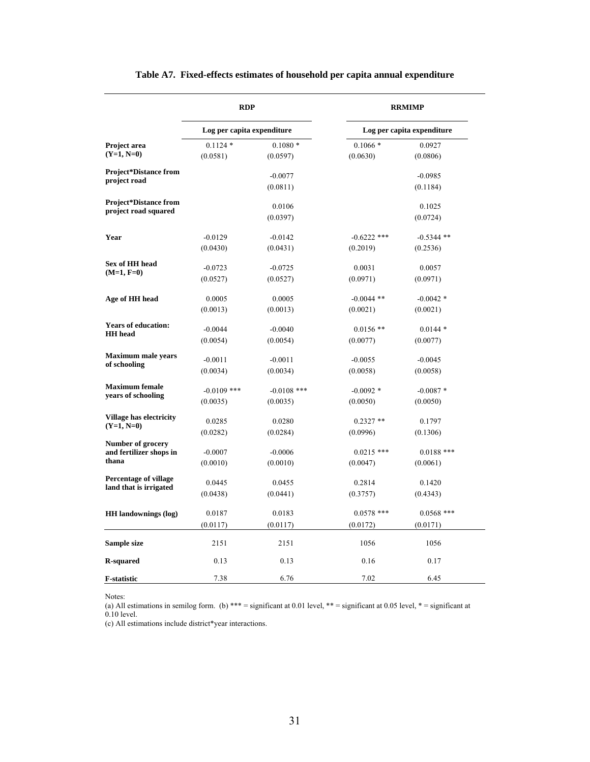|                                                       | <b>RDP</b>                 |                       | <b>RRMIMP</b><br>Log per capita expenditure |                          |  |  |
|-------------------------------------------------------|----------------------------|-----------------------|---------------------------------------------|--------------------------|--|--|
| Project area<br>$(Y=1, N=0)$                          | Log per capita expenditure |                       |                                             |                          |  |  |
|                                                       | $0.1124*$<br>(0.0581)      | $0.1080*$<br>(0.0597) | $0.1066*$<br>(0.0630)                       | 0.0927<br>(0.0806)       |  |  |
| <b>Project*Distance from</b><br>project road          |                            | $-0.0077$<br>(0.0811) |                                             | $-0.0985$<br>(0.1184)    |  |  |
| <b>Project*Distance from</b><br>project road squared  |                            | 0.0106<br>(0.0397)    |                                             | 0.1025<br>(0.0724)       |  |  |
| Year                                                  | $-0.0129$                  | $-0.0142$             | $-0.6222$ ***                               | $-0.5344$ **             |  |  |
|                                                       | (0.0430)                   | (0.0431)              | (0.2019)                                    | (0.2536)                 |  |  |
| Sex of HH head                                        | $-0.0723$                  | $-0.0725$             | 0.0031                                      | 0.0057                   |  |  |
| $(M=1, F=0)$                                          | (0.0527)                   | (0.0527)              | (0.0971)                                    | (0.0971)                 |  |  |
| Age of HH head                                        | 0.0005                     | 0.0005                | $-0.0044$ **                                | $-0.0042*$               |  |  |
|                                                       | (0.0013)                   | (0.0013)              | (0.0021)                                    | (0.0021)                 |  |  |
| <b>Years of education:</b>                            | $-0.0044$                  | $-0.0040$             | $0.0156$ **                                 | $0.0144*$                |  |  |
| <b>HH</b> head                                        | (0.0054)                   | (0.0054)              | (0.0077)                                    | (0.0077)                 |  |  |
| <b>Maximum male years</b>                             | $-0.0011$                  | $-0.0011$             | $-0.0055$                                   | $-0.0045$                |  |  |
| of schooling                                          | (0.0034)                   | (0.0034)              | (0.0058)                                    | (0.0058)                 |  |  |
| <b>Maximum</b> female                                 | $-0.0109$ ***              | $-0.0108$ ***         | $-0.0092*$                                  | $-0.0087*$               |  |  |
| years of schooling                                    | (0.0035)                   | (0.0035)              | (0.0050)                                    | (0.0050)                 |  |  |
| Village has electricity                               | 0.0285                     | 0.0280                | $0.2327**$                                  | 0.1797                   |  |  |
| $(Y=1, N=0)$                                          | (0.0282)                   | (0.0284)              | (0.0996)                                    | (0.1306)                 |  |  |
| Number of grocery<br>and fertilizer shops in<br>thana | $-0.0007$<br>(0.0010)      | $-0.0006$<br>(0.0010) | $0.0215$ ***<br>(0.0047)                    | $0.0188$ ***<br>(0.0061) |  |  |
| <b>Percentage of village</b>                          | 0.0445                     | 0.0455                | 0.2814                                      | 0.1420                   |  |  |
| land that is irrigated                                | (0.0438)                   | (0.0441)              | (0.3757)                                    | (0.4343)                 |  |  |
| <b>HH</b> landownings (log)                           | 0.0187                     | 0.0183                | $0.0578$ ***                                | $0.0568$ ***             |  |  |
|                                                       | (0.0117)                   | (0.0117)              | (0.0172)                                    | (0.0171)                 |  |  |
| Sample size                                           | 2151                       | 2151                  | 1056                                        | 1056                     |  |  |
| <b>R-squared</b>                                      | 0.13                       | 0.13                  | 0.16                                        | 0.17                     |  |  |
| <b>F-statistic</b>                                    | 7.38                       | 6.76                  | 7.02                                        | 6.45                     |  |  |

## **Table A7. Fixed-effects estimates of household per capita annual expenditure**

Notes:

(a) All estimations in semilog form. (b) \*\*\* = significant at 0.01 level, \*\* = significant at 0.05 level, \* = significant at 0.10 level.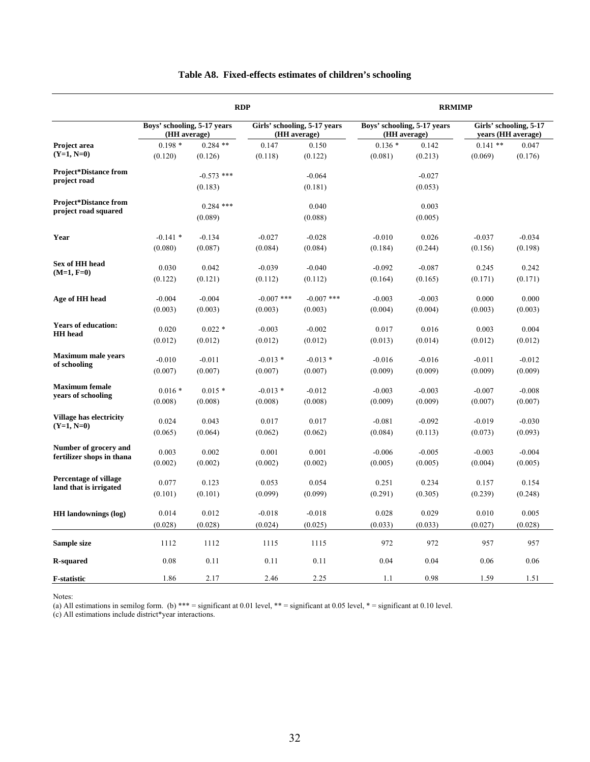|                                                    |                                             |              | <b>RDP</b>                                   | <b>RRMIMP</b> |                                             |          |                                              |                     |
|----------------------------------------------------|---------------------------------------------|--------------|----------------------------------------------|---------------|---------------------------------------------|----------|----------------------------------------------|---------------------|
| Project area                                       | Boys' schooling, 5-17 years<br>(HH average) |              | Girls' schooling, 5-17 years<br>(HH average) |               | Boys' schooling, 5-17 years<br>(HH average) |          | Girls' schooling, 5-17<br>years (HH average) |                     |
|                                                    | $0.198*$                                    | $0.284$ **   | 0.147                                        | 0.150         | $0.136*$                                    | 0.142    | $0.141**$                                    | 0.047               |
| $(Y=1, N=0)$                                       | (0.120)                                     | (0.126)      | (0.118)                                      | (0.122)       | (0.081)                                     | (0.213)  | (0.069)                                      | (0.176)             |
| <b>Project*Distance from</b>                       |                                             | $-0.573$ *** |                                              | $-0.064$      |                                             | $-0.027$ |                                              |                     |
| project road                                       |                                             | (0.183)      |                                              | (0.181)       |                                             | (0.053)  |                                              |                     |
| <b>Project*Distance from</b>                       |                                             | $0.284$ ***  |                                              | 0.040         |                                             | 0.003    |                                              |                     |
| project road squared                               |                                             | (0.089)      |                                              | (0.088)       |                                             | (0.005)  |                                              |                     |
|                                                    |                                             |              |                                              |               |                                             |          |                                              |                     |
| Year                                               | $-0.141*$                                   | $-0.134$     | $-0.027$                                     | $-0.028$      | $-0.010$                                    | 0.026    | $-0.037$                                     | $-0.034$            |
|                                                    | (0.080)                                     | (0.087)      | (0.084)                                      | (0.084)       | (0.184)                                     | (0.244)  | (0.156)                                      | (0.198)             |
| Sex of HH head                                     | 0.030                                       | 0.042        | $-0.039$                                     | $-0.040$      | $-0.092$                                    | $-0.087$ | 0.245                                        | 0.242               |
| $(M=1, F=0)$                                       | (0.122)                                     | (0.121)      | (0.112)                                      | (0.112)       | (0.164)                                     | (0.165)  | (0.171)                                      | (0.171)             |
|                                                    |                                             |              |                                              |               |                                             |          |                                              |                     |
| Age of HH head                                     | $-0.004$                                    | $-0.004$     | $-0.007$ ***                                 | $-0.007$ ***  | $-0.003$                                    | $-0.003$ | 0.000                                        | 0.000               |
|                                                    | (0.003)                                     | (0.003)      | (0.003)                                      | (0.003)       | (0.004)                                     | (0.004)  | (0.003)                                      | (0.003)             |
| <b>Years of education:</b>                         | 0.020                                       | $0.022*$     | $-0.003$                                     | $-0.002$      | 0.017                                       | 0.016    | 0.003                                        | 0.004               |
| <b>HH</b> head                                     | (0.012)                                     | (0.012)      | (0.012)                                      | (0.012)       | (0.013)                                     | (0.014)  | (0.012)                                      | (0.012)             |
| <b>Maximum male years</b>                          | $-0.010$                                    | $-0.011$     | $-0.013$ *                                   | $-0.013*$     |                                             | $-0.016$ | $-0.011$                                     |                     |
| of schooling                                       | (0.007)                                     | (0.007)      | (0.007)                                      | (0.007)       | $-0.016$<br>(0.009)                         | (0.009)  | (0.009)                                      | $-0.012$<br>(0.009) |
|                                                    |                                             |              |                                              |               |                                             |          |                                              |                     |
| <b>Maximum</b> female<br>years of schooling        | $0.016*$                                    | $0.015*$     | $-0.013*$                                    | $-0.012$      | $-0.003$                                    | $-0.003$ | $-0.007$                                     | $-0.008$            |
|                                                    | (0.008)                                     | (0.008)      | (0.008)                                      | (0.008)       | (0.009)                                     | (0.009)  | (0.007)                                      | (0.007)             |
| <b>Village has electricity</b>                     | 0.024                                       | 0.043        | 0.017                                        | 0.017         | $-0.081$                                    | $-0.092$ | $-0.019$                                     | $-0.030$            |
| $(Y=1, N=0)$                                       | (0.065)                                     | (0.064)      | (0.062)                                      | (0.062)       | (0.084)                                     | (0.113)  | (0.073)                                      | (0.093)             |
|                                                    |                                             |              |                                              |               |                                             |          |                                              |                     |
| Number of grocery and<br>fertilizer shops in thana | 0.003                                       | 0.002        | 0.001                                        | 0.001         | $-0.006$                                    | $-0.005$ | $-0.003$                                     | $-0.004$            |
|                                                    | (0.002)                                     | (0.002)      | (0.002)                                      | (0.002)       | (0.005)                                     | (0.005)  | (0.004)                                      | (0.005)             |
| <b>Percentage of village</b>                       | 0.077                                       | 0.123        | 0.053                                        | 0.054         | 0.251                                       | 0.234    | 0.157                                        | 0.154               |
| land that is irrigated                             | (0.101)                                     | (0.101)      | (0.099)                                      | (0.099)       | (0.291)                                     | (0.305)  | (0.239)                                      | (0.248)             |
|                                                    |                                             |              |                                              |               |                                             |          |                                              |                     |
| <b>HH</b> landownings (log)                        | 0.014                                       | 0.012        | $-0.018$                                     | $-0.018$      | 0.028                                       | 0.029    | 0.010                                        | 0.005               |
|                                                    | (0.028)                                     | (0.028)      | (0.024)                                      | (0.025)       | (0.033)                                     | (0.033)  | (0.027)                                      | (0.028)             |
| Sample size                                        | 1112                                        | 1112         | 1115                                         | 1115          | 972                                         | 972      | 957                                          | 957                 |
| <b>R-squared</b>                                   | 0.08                                        | 0.11         | 0.11                                         | 0.11          | 0.04                                        | 0.04     | 0.06                                         | 0.06                |
| <b>F-statistic</b>                                 | 1.86                                        | 2.17         | 2.46                                         | 2.25          | 1.1                                         | 0.98     | 1.59                                         | 1.51                |

#### **Table A8. Fixed-effects estimates of children's schooling**

Notes:

(a) All estimations in semilog form. (b) \*\*\* = significant at 0.01 level, \*\* = significant at 0.05 level, \* = significant at 0.10 level.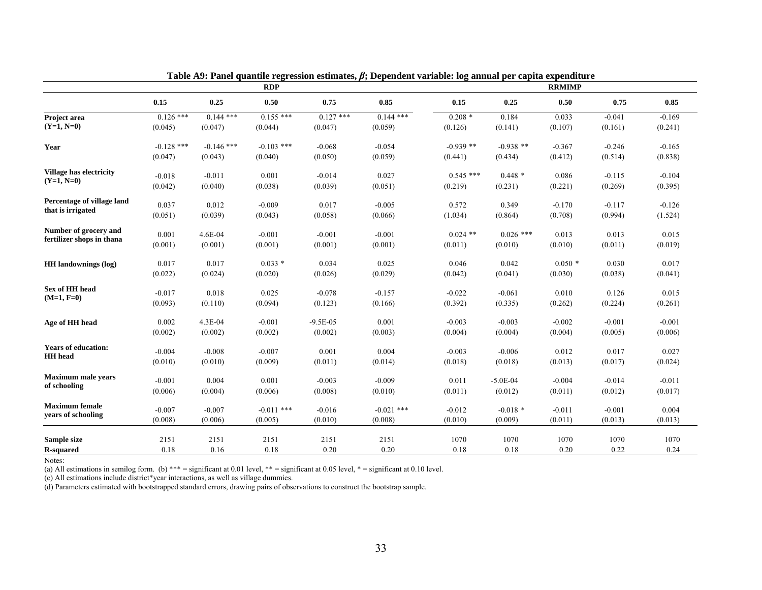|                                | <b>RDP</b>          |                     |                     | <b>RRMIMP</b> |              |                     |                     |                  |                  |                  |
|--------------------------------|---------------------|---------------------|---------------------|---------------|--------------|---------------------|---------------------|------------------|------------------|------------------|
|                                | 0.15                | 0.25                | 0.50                | 0.75          | 0.85         | 0.15                | 0.25                | 0.50             | 0.75             | 0.85             |
| Project area                   | $0.126$ ***         | $0.144$ ***         | $0.155$ ***         | $0.127$ ***   | $0.144***$   | $0.208*$            | 0.184               | 0.033            | $-0.041$         | $-0.169$         |
| $(Y=1, N=0)$                   | (0.045)             | (0.047)             | (0.044)             | (0.047)       | (0.059)      | (0.126)             | (0.141)             | (0.107)          | (0.161)          | (0.241)          |
| Year                           | $-0.128$ ***        | $-0.146$ ***        | $-0.103$ ***        | $-0.068$      | $-0.054$     | $-0.939$ **         | $-0.938$ **         | $-0.367$         | $-0.246$         | $-0.165$         |
|                                | (0.047)             | (0.043)             | (0.040)             | (0.050)       | (0.059)      | (0.441)             | (0.434)             | (0.412)          | (0.514)          | (0.838)          |
| <b>Village has electricity</b> | $-0.018$            | $-0.011$            | 0.001               | $-0.014$      | 0.027        | $0.545$ ***         | $0.448*$            |                  | $-0.115$         | $-0.104$         |
| $(Y=1, N=0)$                   | (0.042)             | (0.040)             | (0.038)             | (0.039)       | (0.051)      | (0.219)             | (0.231)             | 0.086<br>(0.221) | (0.269)          | (0.395)          |
|                                |                     |                     |                     |               |              |                     |                     |                  |                  |                  |
| Percentage of village land     | 0.037               | 0.012               | $-0.009$            | 0.017         | $-0.005$     | 0.572               | 0.349               | $-0.170$         | $-0.117$         | $-0.126$         |
| that is irrigated              | (0.051)             | (0.039)             | (0.043)             | (0.058)       | (0.066)      | (1.034)             | (0.864)             | (0.708)          | (0.994)          | (1.524)          |
| Number of grocery and          | 0.001               | 4.6E-04             | $-0.001$            | $-0.001$      | $-0.001$     | $0.024$ **          | $0.026$ ***         | 0.013            | 0.013            | 0.015            |
| fertilizer shops in thana      | (0.001)             | (0.001)             | (0.001)             | (0.001)       | (0.001)      | (0.011)             | (0.010)             | (0.010)          | (0.011)          | (0.019)          |
|                                |                     |                     |                     |               |              |                     |                     |                  |                  |                  |
| <b>HH</b> landownings (log)    | 0.017               | 0.017               | $0.033*$            | 0.034         | 0.025        | 0.046               | 0.042               | $0.050*$         | 0.030            | 0.017            |
|                                | (0.022)             | (0.024)             | (0.020)             | (0.026)       | (0.029)      | (0.042)             | (0.041)             | (0.030)          | (0.038)          | (0.041)          |
| Sex of HH head                 | $-0.017$            | 0.018               | 0.025               | $-0.078$      | $-0.157$     | $-0.022$            | $-0.061$            | 0.010            | 0.126            | 0.015            |
| $(M=1, F=0)$                   | (0.093)             | (0.110)             | (0.094)             | (0.123)       | (0.166)      | (0.392)             | (0.335)             | (0.262)          | (0.224)          | (0.261)          |
|                                |                     |                     |                     |               |              |                     |                     |                  |                  |                  |
| Age of HH head                 | 0.002               | 4.3E-04             | $-0.001$            | $-9.5E-05$    | 0.001        | $-0.003$            | $-0.003$            | $-0.002$         | $-0.001$         | $-0.001$         |
|                                | (0.002)             | (0.002)             | (0.002)             | (0.002)       | (0.003)      | (0.004)             | (0.004)             | (0.004)          | (0.005)          | (0.006)          |
| <b>Years of education:</b>     |                     |                     |                     |               |              |                     |                     |                  |                  |                  |
| <b>HH</b> head                 | $-0.004$<br>(0.010) | $-0.008$<br>(0.010) | $-0.007$<br>(0.009) | 0.001         | 0.004        | $-0.003$<br>(0.018) | $-0.006$<br>(0.018) | 0.012<br>(0.013) | 0.017<br>(0.017) | 0.027<br>(0.024) |
|                                |                     |                     |                     | (0.011)       | (0.014)      |                     |                     |                  |                  |                  |
| <b>Maximum male years</b>      | $-0.001$            | 0.004               | 0.001               | $-0.003$      | $-0.009$     | 0.011               | $-5.0E-04$          | $-0.004$         | $-0.014$         | $-0.011$         |
| of schooling                   | (0.006)             | (0.004)             | (0.006)             | (0.008)       | (0.010)      | (0.011)             | (0.012)             | (0.011)          | (0.012)          | (0.017)          |
| <b>Maximum</b> female          |                     |                     |                     |               |              |                     |                     |                  |                  |                  |
| vears of schooling             | $-0.007$            | $-0.007$            | $-0.011$ ***        | $-0.016$      | $-0.021$ *** | $-0.012$            | $-0.018$ *          | $-0.011$         | $-0.001$         | 0.004            |
|                                | (0.008)             | (0.006)             | (0.005)             | (0.010)       | (0.008)      | (0.010)             | (0.009)             | (0.011)          | (0.013)          | (0.013)          |
| Sample size                    | 2151                | 2151                | 2151                | 2151          | 2151         | 1070                | 1070                | 1070             | 1070             | 1070             |
| <b>R-squared</b>               | 0.18                | 0.16                | 0.18                | 0.20          | 0.20         | 0.18                | 0.18                | 0.20             | 0.22             | 0.24             |

**Table A9: Panel quantile regression estimates,** *β***; Dependent variable: log annual per capita expenditure** 

Notes:

(a) All estimations in semilog form. (b) \*\*\* = significant at 0.01 level, \*\* = significant at 0.05 level, \* = significant at 0.10 level.

(c) All estimations include district\*year interactions, as well as village dummies.

(d) Parameters estimated with bootstrapped standard errors, drawing pairs of observations to construct the bootstrap sample.